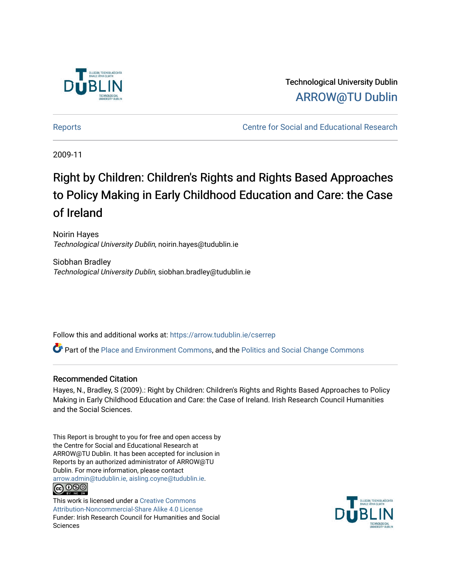

Technological University Dublin [ARROW@TU Dublin](https://arrow.tudublin.ie/) 

[Reports](https://arrow.tudublin.ie/cserrep) **Centre for Social and Educational Research** 

2009-11

# Right by Children: Children's Rights and Rights Based Approaches to Policy Making in Early Childhood Education and Care: the Case of Ireland

Noirin Hayes Technological University Dublin, noirin.hayes@tudublin.ie

Siobhan Bradley Technological University Dublin, siobhan.bradley@tudublin.ie

Follow this and additional works at: [https://arrow.tudublin.ie/cserrep](https://arrow.tudublin.ie/cserrep?utm_source=arrow.tudublin.ie%2Fcserrep%2F36&utm_medium=PDF&utm_campaign=PDFCoverPages)

Part of the [Place and Environment Commons,](http://network.bepress.com/hgg/discipline/424?utm_source=arrow.tudublin.ie%2Fcserrep%2F36&utm_medium=PDF&utm_campaign=PDFCoverPages) and the [Politics and Social Change Commons](http://network.bepress.com/hgg/discipline/425?utm_source=arrow.tudublin.ie%2Fcserrep%2F36&utm_medium=PDF&utm_campaign=PDFCoverPages) 

#### Recommended Citation

Hayes, N., Bradley, S (2009).: Right by Children: Children's Rights and Rights Based Approaches to Policy Making in Early Childhood Education and Care: the Case of Ireland. Irish Research Council Humanities and the Social Sciences.

This Report is brought to you for free and open access by the Centre for Social and Educational Research at ARROW@TU Dublin. It has been accepted for inclusion in Reports by an authorized administrator of ARROW@TU Dublin. For more information, please contact [arrow.admin@tudublin.ie, aisling.coyne@tudublin.ie](mailto:arrow.admin@tudublin.ie,%20aisling.coyne@tudublin.ie). <u>@000</u>

This work is licensed under a [Creative Commons](http://creativecommons.org/licenses/by-nc-sa/4.0/) [Attribution-Noncommercial-Share Alike 4.0 License](http://creativecommons.org/licenses/by-nc-sa/4.0/) Funder: Irish Research Council for Humanities and Social Sciences

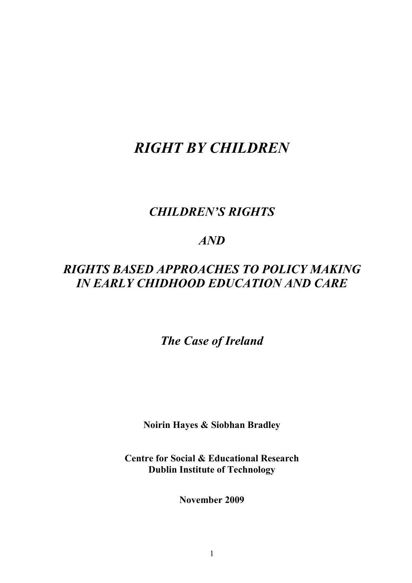# *RIGHT BY CHILDREN*

### *CHILDREN'S RIGHTS*

### *AND*

## *RIGHTS BASED APPROACHES TO POLICY MAKING IN EARLY CHIDHOOD EDUCATION AND CARE*

*The Case of Ireland* 

**Noirin Hayes & Siobhan Bradley** 

**Centre for Social & Educational Research Dublin Institute of Technology** 

**November 2009**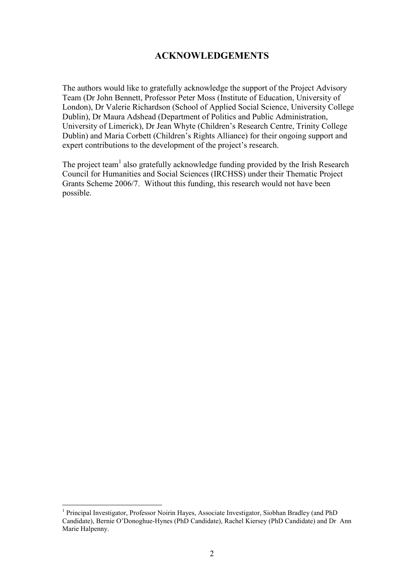### **ACKNOWLEDGEMENTS**

The authors would like to gratefully acknowledge the support of the Project Advisory Team (Dr John Bennett, Professor Peter Moss (Institute of Education, University of London), Dr Valerie Richardson (School of Applied Social Science, University College Dublin), Dr Maura Adshead (Department of Politics and Public Administration, University of Limerick), Dr Jean Whyte (Children's Research Centre, Trinity College Dublin) and Maria Corbett (Children's Rights Alliance) for their ongoing support and expert contributions to the development of the project's research.

The project team<sup>1</sup> also gratefully acknowledge funding provided by the Irish Research Council for Humanities and Social Sciences (IRCHSS) under their Thematic Project Grants Scheme 2006/7. Without this funding, this research would not have been possible.

<sup>&</sup>lt;sup>1</sup> Principal Investigator, Professor Noirin Hayes, Associate Investigator, Siobhan Bradley (and PhD Candidate), Bernie O'Donoghue-Hynes (PhD Candidate), Rachel Kiersey (PhD Candidate) and Dr Ann Marie Halpenny.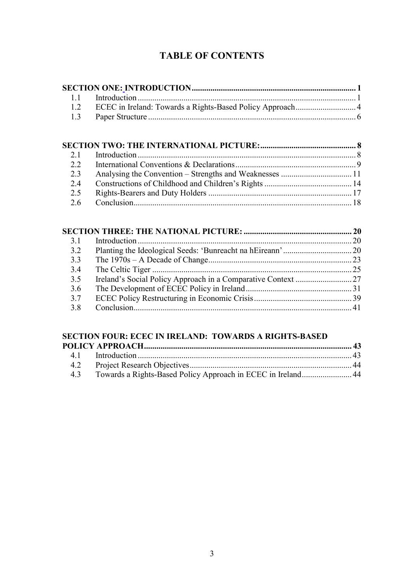### **TABLE OF CONTENTS**

| 21  |  |
|-----|--|
| 2.2 |  |
| 2.3 |  |
| 24  |  |
| 2.5 |  |
|     |  |
|     |  |

| 31  |  |
|-----|--|
| 3.2 |  |
| 3.3 |  |
| 3.4 |  |
| 3.5 |  |
| 3.6 |  |
| 3.7 |  |
| 3.8 |  |

# **SECTION FOUR: ECEC IN IRELAND: TOWARDS A RIGHTS-BASED**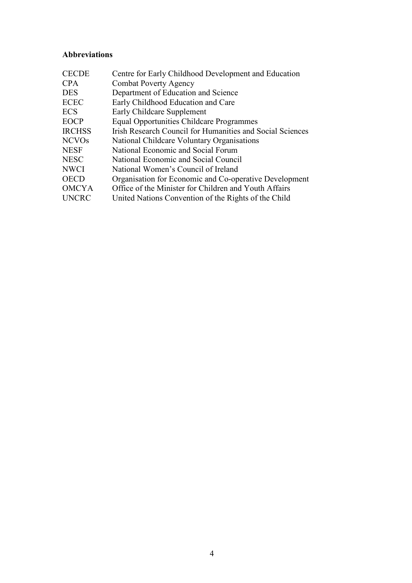### **Abbreviations**

| <b>CECDE</b>  | Centre for Early Childhood Development and Education      |
|---------------|-----------------------------------------------------------|
| <b>CPA</b>    | <b>Combat Poverty Agency</b>                              |
| <b>DES</b>    | Department of Education and Science                       |
| <b>ECEC</b>   | Early Childhood Education and Care                        |
| <b>ECS</b>    | Early Childcare Supplement                                |
| <b>EOCP</b>   | <b>Equal Opportunities Childcare Programmes</b>           |
| <b>IRCHSS</b> | Irish Research Council for Humanities and Social Sciences |
| <b>NCVOs</b>  | National Childcare Voluntary Organisations                |
| <b>NESF</b>   | National Economic and Social Forum                        |
| <b>NESC</b>   | National Economic and Social Council                      |
| <b>NWCI</b>   | National Women's Council of Ireland                       |
| <b>OECD</b>   | Organisation for Economic and Co-operative Development    |
| <b>OMCYA</b>  | Office of the Minister for Children and Youth Affairs     |
| <b>UNCRC</b>  | United Nations Convention of the Rights of the Child      |
|               |                                                           |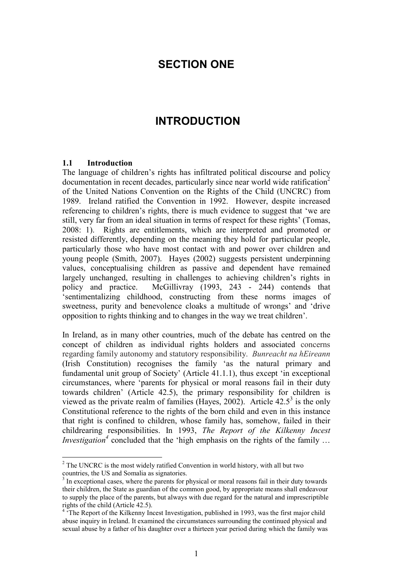### <span id="page-5-0"></span>**SECTION ONE**

### **INTRODUCTION**

#### **1.1 Introduction**

The language of children's rights has infiltrated political discourse and policy documentation in recent decades, particularly since near world wide ratification<sup>2</sup> of the United Nations Convention on the Rights of the Child (UNCRC) from 1989. Ireland ratified the Convention in 1992. However, despite increased referencing to children's rights, there is much evidence to suggest that 'we are still, very far from an ideal situation in terms of respect for these rights' (Tomas, 2008: 1). Rights are entitlements, which are interpreted and promoted or resisted differently, depending on the meaning they hold for particular people, particularly those who have most contact with and power over children and young people (Smith, 2007). Hayes (2002) suggests persistent underpinning values, conceptualising children as passive and dependent have remained largely unchanged, resulting in challenges to achieving children's rights in policy and practice. McGillivray (1993, 243 - 244) contends that 'sentimentalizing childhood, constructing from these norms images of sweetness, purity and benevolence cloaks a multitude of wrongs' and 'drive opposition to rights thinking and to changes in the way we treat children'.

In Ireland, as in many other countries, much of the debate has centred on the concept of children as individual rights holders and associated concerns regarding family autonomy and statutory responsibility. *Bunreacht na hEireann*  (Irish Constitution) recognises the family 'as the natural primary and fundamental unit group of Society' (Article 41.1.1), thus except 'in exceptional circumstances, where 'parents for physical or moral reasons fail in their duty towards children' (Article 42.5), the primary responsibility for children is viewed as the private realm of families (Hayes, 2002). Article  $42.5^3$  is the only Constitutional reference to the rights of the born child and even in this instance that right is confined to children, whose family has, somehow, failed in their childrearing responsibilities. In 1993, *The Report of the Kilkenny Incest Investigation*<sup>4</sup> concluded that the 'high emphasis on the rights of the family ...

<sup>&</sup>lt;sup>2</sup> The UNCRC is the most widely ratified Convention in world history, with all but two countries, the US and Somalia as signatories.

 $3$  In exceptional cases, where the parents for physical or moral reasons fail in their duty towards their children, the State as guardian of the common good, by appropriate means shall endeavour to supply the place of the parents, but always with due regard for the natural and imprescriptible rights of the child (Article 42.5).

<sup>&</sup>lt;sup>4 c</sup>The Report of the Kilkenny Incest Investigation, published in 1993, was the first major child abuse inquiry in Ireland. It examined the circumstances surrounding the continued physical and sexual abuse by a father of his daughter over a thirteen year period during which the family was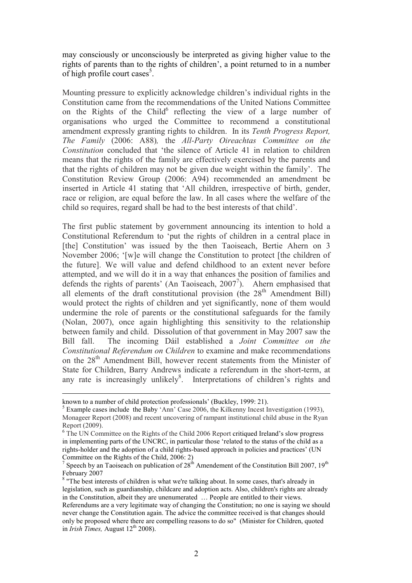may consciously or unconsciously be interpreted as giving higher value to the rights of parents than to the rights of children', a point returned to in a number of high profile court cases<sup>5</sup>.

Mounting pressure to explicitly acknowledge children's individual rights in the Constitution came from the recommendations of the United Nations Committee on the Rights of the Child<sup>6</sup> reflecting the view of a large number of organisations who urged the Committee to recommend a constitutional amendment expressly granting rights to children. In its *Tenth Progress Report, The Family* (2006: A88)*,* the *All-Party Oireachtas Committee on the Constitution* concluded that 'the silence of Article 41 in relation to children means that the rights of the family are effectively exercised by the parents and that the rights of children may not be given due weight within the family'. The Constitution Review Group (2006: A94) recommended an amendment be inserted in Article 41 stating that 'All children, irrespective of birth, gender, race or religion, are equal before the law. In all cases where the welfare of the child so requires, regard shall be had to the best interests of that child'.

The first public statement by government announcing its intention to hold a Constitutional Referendum to 'put the rights of children in a central place in [the] Constitution' was issued by the then Taoiseach, Bertie Ahern on 3 November 2006; '[w]e will change the Constitution to protect [the children of the future]. We will value and defend childhood to an extent never before attempted, and we will do it in a way that enhances the position of families and defends the rights of parents' (An Taoiseach,  $2007^7$ ). Ahern emphasised that all elements of the draft constitutional provision (the  $28<sup>th</sup>$  Amendment Bill) would protect the rights of children and yet significantly, none of them would undermine the role of parents or the constitutional safeguards for the family (Nolan, 2007), once again highlighting this sensitivity to the relationship between family and child. Dissolution of that government in May 2007 saw the Bill fall. The incoming Dáil established a *Joint Committee on the Constitutional Referendum on Children* to examine and make recommendations on the 28<sup>th</sup> Amendment Bill, however recent statements from the Minister of State for Children, Barry Andrews indicate a referendum in the short-term, at any rate is increasingly unlikely<sup>8</sup>. Interpretations of children's rights and

known to a number of child protection professionals' (Buckley, 1999: 21).

<sup>&</sup>lt;sup>5</sup> Example cases include the Baby 'Ann' Case 2006, the Kilkenny Incest Investigation (1993), Monageer Report (2008) and recent uncovering of rampant institutional child abuse in the Ryan Report (2009).

<sup>&</sup>lt;sup>6</sup> The UN Committee on the Rights of the Child 2006 Report critiqued Ireland's slow progress in implementing parts of the UNCRC, in particular those 'related to the status of the child as a rights-holder and the adoption of a child rights-based approach in policies and practices' (UN Committee on the Rights of the Child, 2006: 2)

<sup>&</sup>lt;sup>7</sup> Speech by an Taoiseach on publication of  $28<sup>th</sup>$  Amendement of the Constitution Bill 2007, 19<sup>th</sup> February 2007

<sup>&</sup>lt;sup>8</sup> "The best interests of children is what we're talking about. In some cases, that's already in legislation, such as guardianship, childcare and adoption acts. Also, children's rights are already in the Constitution, albeit they are unenumerated … People are entitled to their views.

Referendums are a very legitimate way of changing the Constitution; no one is saying we should never change the Constitution again. The advice the committee received is that changes should only be proposed where there are compelling reasons to do so" (Minister for Children, quoted in  $I$ *rish Times*, August  $12<sup>th</sup> 2008$ ).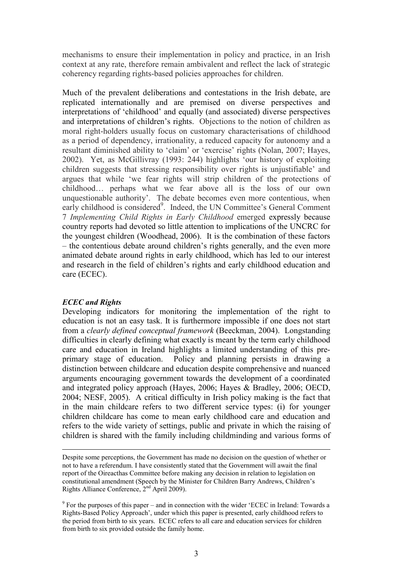mechanisms to ensure their implementation in policy and practice, in an Irish context at any rate, therefore remain ambivalent and reflect the lack of strategic coherency regarding rights-based policies approaches for children.

Much of the prevalent deliberations and contestations in the Irish debate, are replicated internationally and are premised on diverse perspectives and interpretations of 'childhood' and equally (and associated) diverse perspectives and interpretations of children's rights. Objections to the notion of children as moral right-holders usually focus on customary characterisations of childhood as a period of dependency, irrationality, a reduced capacity for autonomy and a resultant diminished ability to 'claim' or 'exercise' rights (Nolan, 2007; Hayes, 2002). Yet, as McGillivray (1993: 244) highlights 'our history of exploiting children suggests that stressing responsibility over rights is unjustifiable' and argues that while 'we fear rights will strip children of the protections of childhood… perhaps what we fear above all is the loss of our own unquestionable authority'. The debate becomes even more contentious, when early childhood is considered<sup>9</sup>. Indeed, the UN Committee's General Comment 7 *Implementing Child Rights in Early Childhood* emerged expressly because country reports had devoted so little attention to implications of the UNCRC for the youngest children (Woodhead, 2006). It is the combination of these factors – the contentious debate around children's rights generally, and the even more animated debate around rights in early childhood, which has led to our interest and research in the field of children's rights and early childhood education and care (ECEC).

### *ECEC and Rights*

 $\overline{a}$ 

Developing indicators for monitoring the implementation of the right to education is not an easy task. It is furthermore impossible if one does not start from a *clearly defined conceptual framework* (Beeckman, 2004). Longstanding difficulties in clearly defining what exactly is meant by the term early childhood care and education in Ireland highlights a limited understanding of this preprimary stage of education. Policy and planning persists in drawing a distinction between childcare and education despite comprehensive and nuanced arguments encouraging government towards the development of a coordinated and integrated policy approach (Hayes, 2006; Hayes & Bradley, 2006; OECD, 2004; NESF, 2005). A critical difficulty in Irish policy making is the fact that in the main childcare refers to two different service types: (i) for younger children childcare has come to mean early childhood care and education and refers to the wide variety of settings, public and private in which the raising of children is shared with the family including childminding and various forms of

Despite some perceptions, the Government has made no decision on the question of whether or not to have a referendum. I have consistently stated that the Government will await the final report of the Oireacthas Committee before making any decision in relation to legislation on constitutional amendment (Speech by the Minister for Children Barry Andrews, Children's Rights Alliance Conference,  $2<sup>nd</sup>$  April 2009).

 $9^9$  For the purposes of this paper – and in connection with the wider 'ECEC in Ireland: Towards a Rights-Based Policy Approach', under which this paper is presented, early childhood refers to the period from birth to six years. ECEC refers to all care and education services for children from birth to six provided outside the family home.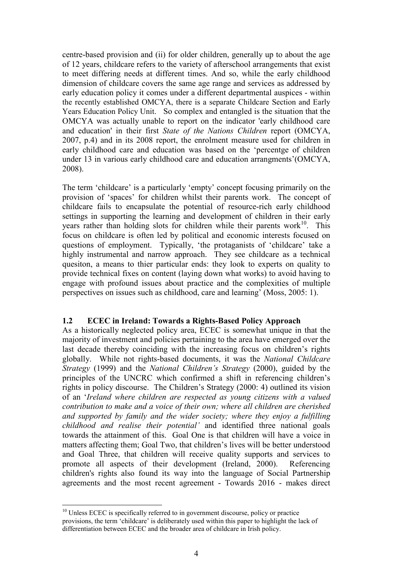<span id="page-8-0"></span>centre-based provision and (ii) for older children, generally up to about the age of 12 years, childcare refers to the variety of afterschool arrangements that exist to meet differing needs at different times. And so, while the early childhood dimension of childcare covers the same age range and services as addressed by early education policy it comes under a different departmental auspices - within the recently established OMCYA, there is a separate Childcare Section and Early Years Education Policy Unit. So complex and entangled is the situation that the OMCYA was actually unable to report on the indicator 'early childhood care and education' in their first *State of the Nations Children* report (OMCYA, 2007, p.4) and in its 2008 report, the enrolment measure used for children in early childhood care and education was based on the 'percentge of children under 13 in various early childhood care and education arrangments'(OMCYA, 2008).

The term 'childcare' is a particularly 'empty' concept focusing primarily on the provision of 'spaces' for children whilst their parents work. The concept of childcare fails to encapsulate the potential of resource-rich early childhood settings in supporting the learning and development of children in their early years rather than holding slots for children while their parents work $10$ . This focus on childcare is often led by political and economic interests focused on questions of employment. Typically, 'the protaganists of 'childcare' take a highly instrumental and narrow approach. They see childcare as a technical quesiton, a means to thier particular ends: they look to experts on quality to provide technical fixes on content (laying down what works) to avoid having to engage with profound issues about practice and the complexities of multiple perspectives on issues such as childhood, care and learning' (Moss, 2005: 1).

### **1.2 ECEC in Ireland: Towards a Rights-Based Policy Approach**

As a historically neglected policy area, ECEC is somewhat unique in that the majority of investment and policies pertaining to the area have emerged over the last decade thereby coinciding with the increasing focus on children's rights globally. While not rights-based documents, it was the *National Childcare Strategy* (1999) and the *National Children's Strategy* (2000), guided by the principles of the UNCRC which confirmed a shift in referencing children's rights in policy discourse. The Children's Strategy (2000: 4) outlined its vision of an '*Ireland where children are respected as young citizens with a valued contribution to make and a voice of their own; where all children are cherished and supported by family and the wider society; where they enjoy a fulfilling childhood and realise their potential'* and identified three national goals towards the attainment of this. Goal One is that children will have a voice in matters affecting them; Goal Two, that children's lives will be better understood and Goal Three, that children will receive quality supports and services to promote all aspects of their development (Ireland, 2000). Referencing children's rights also found its way into the language of Social Partnership agreements and the most recent agreement - Towards 2016 - makes direct

<sup>&</sup>lt;sup>10</sup> Unless ECEC is specifically referred to in government discourse, policy or practice provisions, the term 'childcare' is deliberately used within this paper to highlight the lack of differentiation between ECEC and the broader area of childcare in Irish policy.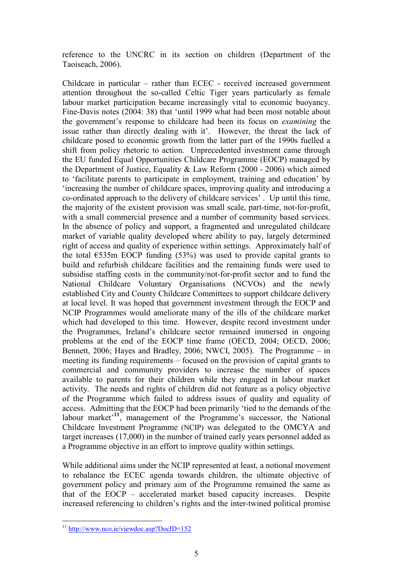reference to the UNCRC in its section on children (Department of the Taoiseach, 2006).

Childcare in particular – rather than ECEC - received increased government attention throughout the so-called Celtic Tiger years particularly as female labour market participation became increasingly vital to economic buoyancy. Fine-Davis notes (2004: 38) that 'until 1999 what had been most notable about the government's response to childcare had been its focus on *examining* the issue rather than directly dealing with it'. However, the threat the lack of childcare posed to economic growth from the latter part of the 1990s fuelled a shift from policy rhetoric to action. Unprecedented investment came through the EU funded Equal Opportunities Childcare Programme (EOCP) managed by the Department of Justice, Equality & Law Reform (2000 - 2006) which aimed to 'facilitate parents to participate in employment, training and education' by 'increasing the number of childcare spaces, improving quality and introducing a co-ordinated approach to the delivery of childcare services' . Up until this time, the majority of the existent provision was small scale, part-time, not-for-profit, with a small commercial presence and a number of community based services. In the absence of policy and support, a fragmented and unregulated childcare market of variable quality developed where ability to pay, largely determined right of access and quality of experience within settings. Approximately half of the total  $\epsilon$ 535m EOCP funding (53%) was used to provide capital grants to build and refurbish childcare facilities and the remaining funds were used to subsidise staffing costs in the community/not-for-profit sector and to fund the National Childcare Voluntary Organisations (NCVOs) and the newly established City and County Childcare Committees to support childcare delivery at local level. It was hoped that government investment through the EOCP and NCIP Programmes would ameliorate many of the ills of the childcare market which had developed to this time. However, despite record investment under the Programmes, Ireland's childcare sector remained immersed in ongoing problems at the end of the EOCP time frame (OECD, 2004; OECD, 2006; Bennett, 2006; Hayes and Bradley, 2006; NWCI, 2005). The Programme – in meeting its funding requirements – focused on the provision of capital grants to commercial and community providers to increase the number of spaces available to parents for their children while they engaged in labour market activity. The needs and rights of children did not feature as a policy objective of the Programme which failed to address issues of quality and equality of access. Admitting that the EOCP had been primarily 'tied to the demands of the labour market<sup>11</sup>, management of the Programme's successor, the National Childcare Investment Programme (NCIP) was delegated to the OMCYA and target increases (17,000) in the number of trained early years personnel added as a Programme objective in an effort to improve quality within settings.

While additional aims under the NCIP represented at least, a notional movement to rebalance the ECEC agenda towards children, the ultimate objective of government policy and primary aim of the Programme remained the same as that of the EOCP – accelerated market based capacity increases. Despite increased referencing to children's rights and the inter-twined political promise

 $\overline{a}$ <sup>11</sup> <http://www.nco.ie/viewdoc.asp?DocID=152>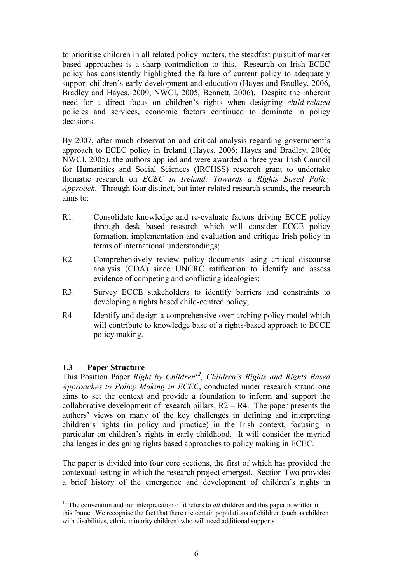<span id="page-10-0"></span>to prioritise children in all related policy matters, the steadfast pursuit of market based approaches is a sharp contradiction to this. Research on Irish ECEC policy has consistently highlighted the failure of current policy to adequately support children's early development and education (Hayes and Bradley, 2006, Bradley and Hayes, 2009, NWCI, 2005, Bennett, 2006). Despite the inherent need for a direct focus on children's rights when designing *child-related*  policies and services, economic factors continued to dominate in policy decisions.

By 2007, after much observation and critical analysis regarding government's approach to ECEC policy in Ireland (Hayes, 2006; Hayes and Bradley, 2006; NWCI, 2005), the authors applied and were awarded a three year Irish Council for Humanities and Social Sciences (IRCHSS) research grant to undertake thematic research on *ECEC in Ireland: Towards a Rights Based Policy Approach.* Through four distinct, but inter-related research strands, the research aims to:

- R1. Consolidate knowledge and re-evaluate factors driving ECCE policy through desk based research which will consider ECCE policy formation, implementation and evaluation and critique Irish policy in terms of international understandings;
- R2. Comprehensively review policy documents using critical discourse analysis (CDA) since UNCRC ratification to identify and assess evidence of competing and conflicting ideologies;
- R3. Survey ECCE stakeholders to identify barriers and constraints to developing a rights based child-centred policy;
- R4. Identify and design a comprehensive over-arching policy model which will contribute to knowledge base of a rights-based approach to ECCE policy making.

### **1.3 Paper Structure**

This Position Paper *Right by Children<sup>12</sup>, Children's Rights and Rights Based Approaches to Policy Making in ECEC*, conducted under research strand one aims to set the context and provide a foundation to inform and support the collaborative development of research pillars,  $R2 - R4$ . The paper presents the authors' views on many of the key challenges in defining and interpreting children's rights (in policy and practice) in the Irish context, focusing in particular on children's rights in early childhood. It will consider the myriad challenges in designing rights based approaches to policy making in ECEC.

The paper is divided into four core sections, the first of which has provided the contextual setting in which the research project emerged. Section Two provides a brief history of the emergence and development of children's rights in

 $\overline{a}$ <sup>12</sup> The convention and our interpretation of it refers to *all* children and this paper is written in this frame. We recognise the fact that there are certain populations of children (such as children with disabilities, ethnic minority children) who will need additional supports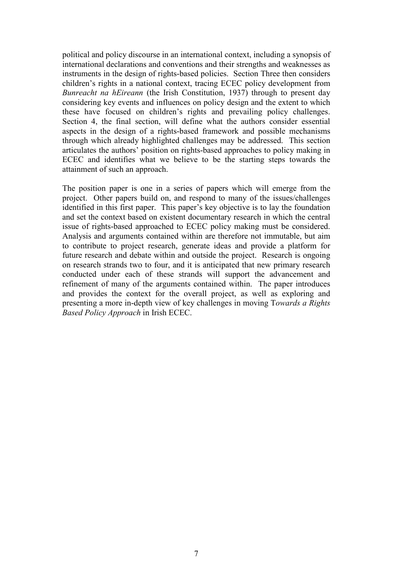political and policy discourse in an international context, including a synopsis of international declarations and conventions and their strengths and weaknesses as instruments in the design of rights-based policies. Section Three then considers children's rights in a national context, tracing ECEC policy development from *Bunreacht na hEireann* (the Irish Constitution, 1937) through to present day considering key events and influences on policy design and the extent to which these have focused on children's rights and prevailing policy challenges. Section 4, the final section, will define what the authors consider essential aspects in the design of a rights-based framework and possible mechanisms through which already highlighted challenges may be addressed. This section articulates the authors' position on rights-based approaches to policy making in ECEC and identifies what we believe to be the starting steps towards the attainment of such an approach.

The position paper is one in a series of papers which will emerge from the project. Other papers build on, and respond to many of the issues/challenges identified in this first paper. This paper's key objective is to lay the foundation and set the context based on existent documentary research in which the central issue of rights-based approached to ECEC policy making must be considered. Analysis and arguments contained within are therefore not immutable, but aim to contribute to project research, generate ideas and provide a platform for future research and debate within and outside the project. Research is ongoing on research strands two to four, and it is anticipated that new primary research conducted under each of these strands will support the advancement and refinement of many of the arguments contained within. The paper introduces and provides the context for the overall project, as well as exploring and presenting a more in-depth view of key challenges in moving T*owards a Rights Based Policy Approach* in Irish ECEC.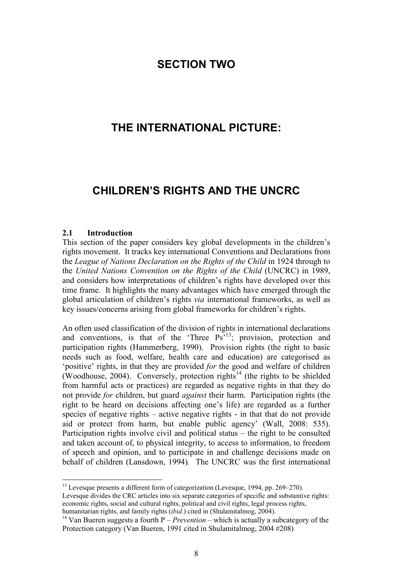### **SECTION TWO**

### <span id="page-12-0"></span>**THE INTERNATIONAL PICTURE:**

### **CHILDREN'S RIGHTS AND THE UNCRC**

### **2.1 Introduction**

 $\overline{a}$ 

This section of the paper considers key global developments in the children's rights movement. It tracks key international Conventions and Declarations from the *League of Nations Declaration on the Rights of the Child* in 1924 through to the *United Nations Convention on the Rights of the Child* (UNCRC) in 1989, and considers how interpretations of children's rights have developed over this time frame. It highlights the many advantages which have emerged through the global articulation of children's rights *via* international frameworks, as well as key issues/concerns arising from global frameworks for children's rights.

An often used classification of the division of rights in international declarations and conventions, is that of the 'Three  $Ps<sup>513</sup>$ ; provision, protection and participation rights (Hammerberg, 1990). Provision rights (the right to basic needs such as food, welfare, health care and education) are categorised as 'positive' rights, in that they are provided *for* the good and welfare of children (Woodhouse, 2004). Conversely, protection rights<sup>14</sup> (the rights to be shielded from harmful acts or practices) are regarded as negative rights in that they do not provide *for* children, but guard *against* their harm. Participation rights (the right to be heard on decisions affecting one's life) are regarded as a further species of negative rights – active negative rights - in that that do not provide aid or protect from harm, but enable public agency' (Wall, 2008: 535). Participation rights involve civil and political status – the right to be consulted and taken account of, to physical integrity, to access to information, to freedom of speech and opinion, and to participate in and challenge decisions made on behalf of children (Lansdown, 1994)*.* The UNCRC was the first international

Levesque divides the CRC articles into six separate categories of specific and substantive rights: economic rights, social and cultural rights, political and civil rights, legal process rights, humanitarian rights, and family rights (*ibid*.) cited in (Shulamitalmog, 2004).

 $^{13}$  Levesque presents a different form of categorization (Levesque, 1994, pp. 269–270).

<sup>&</sup>lt;sup>14</sup> Van Bueren suggests a fourth  $P - Prevention$  – which is actually a subcategory of the Protection category (Van Bueren, 1991 cited in Shulamitalmog, 2004 #208)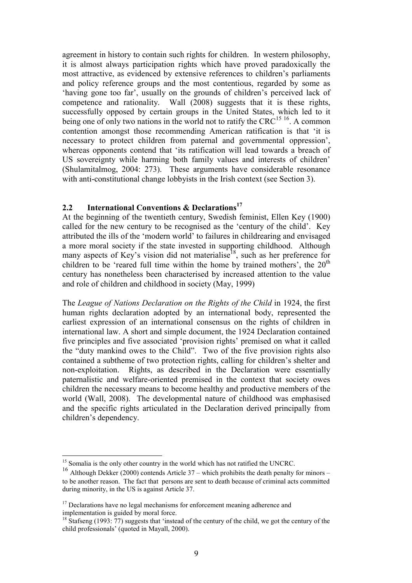<span id="page-13-0"></span>agreement in history to contain such rights for children. In western philosophy, it is almost always participation rights which have proved paradoxically the most attractive, as evidenced by extensive references to children's parliaments and policy reference groups and the most contentious, regarded by some as 'having gone too far', usually on the grounds of children's perceived lack of competence and rationality.Wall (2008) suggests that it is these rights, successfully opposed by certain groups in the United States, which led to it being one of only two nations in the world not to ratify the CRC<sup>15 16</sup>. A common contention amongst those recommending American ratification is that 'it is necessary to protect children from paternal and governmental oppression', whereas opponents contend that 'its ratification will lead towards a breach of US sovereignty while harming both family values and interests of children' (Shulamitalmog, 2004: 273). These arguments have considerable resonance with anti-constitutional change lobbyists in the Irish context (see Section 3).

### **2.2 International Conventions & Declarations<sup>17</sup>**

At the beginning of the twentieth century, Swedish feminist, Ellen Key (1900) called for the new century to be recognised as the 'century of the child'. Key attributed the ills of the 'modern world' to failures in childrearing and envisaged a more moral society if the state invested in supporting childhood. Although many aspects of Key's vision did not materialise<sup>18</sup>, such as her preference for children to be 'reared full time within the home by trained mothers', the  $20<sup>th</sup>$ century has nonetheless been characterised by increased attention to the value and role of children and childhood in society (May, 1999)

The *League of Nations Declaration on the Rights of the Child* in 1924, the first human rights declaration adopted by an international body, represented the earliest expression of an international consensus on the rights of children in international law. A short and simple document, the 1924 Declaration contained five principles and five associated 'provision rights' premised on what it called the "duty mankind owes to the Child". Two of the five provision rights also contained a subtheme of two protection rights, calling for children's shelter and non-exploitation. Rights, as described in the Declaration were essentially paternalistic and welfare-oriented premised in the context that society owes children the necessary means to become healthy and productive members of the world (Wall, 2008). The developmental nature of childhood was emphasised and the specific rights articulated in the Declaration derived principally from children's dependency.

<sup>&</sup>lt;sup>15</sup> Somalia is the only other country in the world which has not ratified the UNCRC.

<sup>16</sup> Although Dekker (2000) contends Article 37 – which prohibits the death penalty for minors – to be another reason. The fact that persons are sent to death because of criminal acts committed during minority, in the US is against Article 37.

 $17$  Declarations have no legal mechanisms for enforcement meaning adherence and implementation is guided by moral force.

<sup>&</sup>lt;sup>18</sup> Stafseng (1993: 77) suggests that 'instead of the century of the child, we got the century of the child professionals' (quoted in Mayall, 2000).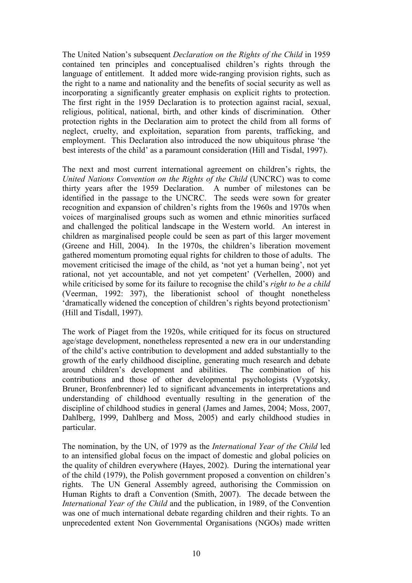The United Nation's subsequent *Declaration on the Rights of the Child* in 1959 contained ten principles and conceptualised children's rights through the language of entitlement. It added more wide-ranging provision rights, such as the right to a name and nationality and the benefits of social security as well as incorporating a significantly greater emphasis on explicit rights to protection. The first right in the 1959 Declaration is to protection against racial, sexual, religious, political, national, birth, and other kinds of discrimination. Other protection rights in the Declaration aim to protect the child from all forms of neglect, cruelty, and exploitation, separation from parents, trafficking, and employment. This Declaration also introduced the now ubiquitous phrase 'the best interests of the child' as a paramount consideration (Hill and Tisdal, 1997).

The next and most current international agreement on children's rights, the *United Nations Convention on the Rights of the Child* (UNCRC) was to come thirty years after the 1959 Declaration. A number of milestones can be identified in the passage to the UNCRC. The seeds were sown for greater recognition and expansion of children's rights from the 1960s and 1970s when voices of marginalised groups such as women and ethnic minorities surfaced and challenged the political landscape in the Western world. An interest in children as marginalised people could be seen as part of this larger movement (Greene and Hill, 2004). In the 1970s, the children's liberation movement gathered momentum promoting equal rights for children to those of adults. The movement criticised the image of the child, as 'not yet a human being', not yet rational, not yet accountable, and not yet competent' (Verhellen, 2000) and while criticised by some for its failure to recognise the child's *right to be a child*  (Veerman, 1992: 397), the liberationist school of thought nonetheless 'dramatically widened the conception of children's rights beyond protectionism' (Hill and Tisdall, 1997).

The work of Piaget from the 1920s, while critiqued for its focus on structured age/stage development, nonetheless represented a new era in our understanding of the child's active contribution to development and added substantially to the growth of the early childhood discipline, generating much research and debate around children's development and abilities. The combination of his contributions and those of other developmental psychologists (Vygotsky, Bruner, Bronfenbrenner) led to significant advancements in interpretations and understanding of childhood eventually resulting in the generation of the discipline of childhood studies in general (James and James, 2004; Moss, 2007, Dahlberg, 1999, Dahlberg and Moss, 2005) and early childhood studies in particular.

The nomination, by the UN, of 1979 as the *International Year of the Child* led to an intensified global focus on the impact of domestic and global policies on the quality of children everywhere (Hayes, 2002). During the international year of the child (1979), the Polish government proposed a convention on children's rights. The UN General Assembly agreed, authorising the Commission on Human Rights to draft a Convention (Smith, 2007). The decade between the *International Year of the Child* and the publication, in 1989, of the Convention was one of much international debate regarding children and their rights. To an unprecedented extent Non Governmental Organisations (NGOs) made written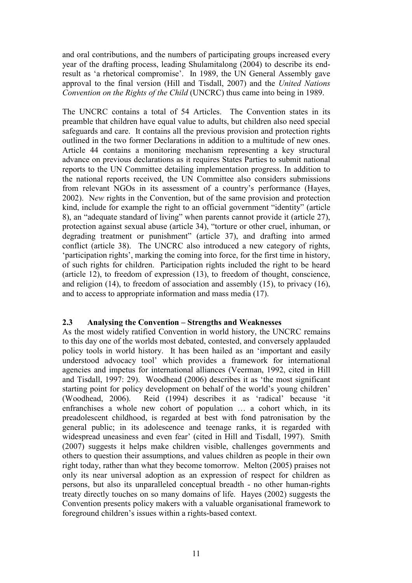<span id="page-15-0"></span>and oral contributions, and the numbers of participating groups increased every year of the drafting process, leading Shulamitalong (2004) to describe its endresult as 'a rhetorical compromise'. In 1989, the UN General Assembly gave approval to the final version (Hill and Tisdall, 2007) and the *United Nations Convention on the Rights of the Child* (UNCRC) thus came into being in 1989.

The UNCRC contains a total of 54 Articles. The Convention states in its preamble that children have equal value to adults, but children also need special safeguards and care. It contains all the previous provision and protection rights outlined in the two former Declarations in addition to a multitude of new ones. Article 44 contains a monitoring mechanism representing a key structural advance on previous declarations as it requires States Parties to submit national reports to the UN Committee detailing implementation progress. In addition to the national reports received, the UN Committee also considers submissions from relevant NGOs in its assessment of a country's performance (Hayes, 2002). N*ew* rights in the Convention, but of the same provision and protection kind, include for example the right to an official government "identity" (article 8), an "adequate standard of living" when parents cannot provide it (article 27), protection against sexual abuse (article 34), "torture or other cruel, inhuman, or degrading treatment or punishment" (article 37), and drafting into armed conflict (article 38). The UNCRC also introduced a new category of rights, 'participation rights', marking the coming into force, for the first time in history, of such rights for children. Participation rights included the right to be heard (article 12), to freedom of expression (13), to freedom of thought, conscience, and religion (14), to freedom of association and assembly (15), to privacy (16), and to access to appropriate information and mass media (17).

### **2.3 Analysing the Convention – Strengths and Weaknesses**

As the most widely ratified Convention in world history, the UNCRC remains to this day one of the worlds most debated, contested, and conversely applauded policy tools in world history. It has been hailed as an 'important and easily understood advocacy tool' which provides a framework for international agencies and impetus for international alliances (Veerman, 1992, cited in Hill and Tisdall, 1997: 29). Woodhead (2006) describes it as 'the most significant starting point for policy development on behalf of the world's young children' (Woodhead, 2006). Reid (1994) describes it as 'radical' because 'it enfranchises a whole new cohort of population … a cohort which, in its preadolescent childhood, is regarded at best with fond patronisation by the general public; in its adolescence and teenage ranks, it is regarded with widespread uneasiness and even fear' (cited in Hill and Tisdall, 1997). Smith (2007) suggests it helps make children visible, challenges governments and others to question their assumptions, and values children as people in their own right today, rather than what they become tomorrow. Melton (2005) praises not only its near universal adoption as an expression of respect for children as persons, but also its unparalleled conceptual breadth - no other human-rights treaty directly touches on so many domains of life. Hayes (2002) suggests the Convention presents policy makers with a valuable organisational framework to foreground children's issues within a rights-based context.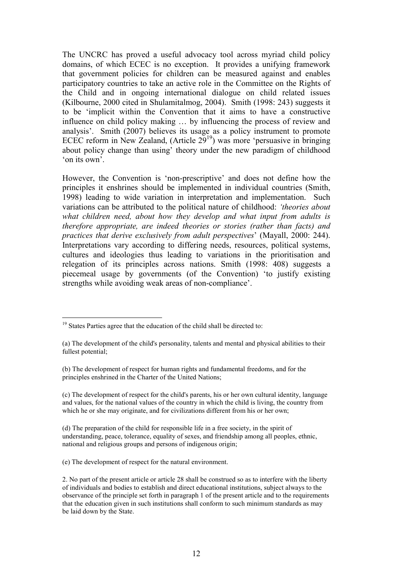The UNCRC has proved a useful advocacy tool across myriad child policy domains, of which ECEC is no exception. It provides a unifying framework that government policies for children can be measured against and enables participatory countries to take an active role in the Committee on the Rights of the Child and in ongoing international dialogue on child related issues (Kilbourne, 2000 cited in Shulamitalmog, 2004). Smith (1998: 243) suggests it to be 'implicit within the Convention that it aims to have a constructive influence on child policy making … by influencing the process of review and analysis'. Smith (2007) believes its usage as a policy instrument to promote ECEC reform in New Zealand, (Article  $29^{19}$ ) was more 'persuasive in bringing about policy change than using' theory under the new paradigm of childhood 'on its own'.

However, the Convention is 'non-prescriptive' and does not define how the principles it enshrines should be implemented in individual countries (Smith, 1998) leading to wide variation in interpretation and implementation. Such variations can be attributed to the political nature of childhood: *'theories about what children need, about how they develop and what input from adults is therefore appropriate, are indeed theories or stories (rather than facts) and practices that derive exclusively from adult perspectives*' (Mayall, 2000: 244). Interpretations vary according to differing needs, resources, political systems, cultures and ideologies thus leading to variations in the prioritisation and relegation of its principles across nations. Smith (1998: 408) suggests a piecemeal usage by governments (of the Convention) 'to justify existing strengths while avoiding weak areas of non-compliance'.

 $\overline{a}$ 

(c) The development of respect for the child's parents, his or her own cultural identity, language and values, for the national values of the country in which the child is living, the country from which he or she may originate, and for civilizations different from his or her own;

(d) The preparation of the child for responsible life in a free society, in the spirit of understanding, peace, tolerance, equality of sexes, and friendship among all peoples, ethnic, national and religious groups and persons of indigenous origin;

(e) The development of respect for the natural environment.

 $19$  States Parties agree that the education of the child shall be directed to:

<sup>(</sup>a) The development of the child's personality, talents and mental and physical abilities to their fullest potential;

<sup>(</sup>b) The development of respect for human rights and fundamental freedoms, and for the principles enshrined in the Charter of the United Nations;

<sup>2.</sup> No part of the present article or article 28 shall be construed so as to interfere with the liberty of individuals and bodies to establish and direct educational institutions, subject always to the observance of the principle set forth in paragraph 1 of the present article and to the requirements that the education given in such institutions shall conform to such minimum standards as may be laid down by the State.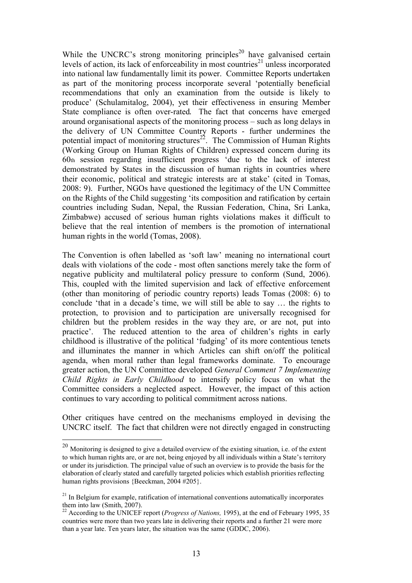While the UNCRC's strong monitoring principles $^{20}$  have galvanised certain levels of action, its lack of enforceability in most countries<sup>21</sup> unless incorporated into national law fundamentally limit its power. Committee Reports undertaken as part of the monitoring process incorporate several 'potentially beneficial recommendations that only an examination from the outside is likely to produce' (Schulamitalog, 2004), yet their effectiveness in ensuring Member State compliance is often over-rated. The fact that concerns have emerged around organisational aspects of the monitoring process – such as long delays in the delivery of UN Committee Country Reports - further undermines the potential impact of monitoring structures<sup>22</sup>. The Commission of Human Rights (Working Group on Human Rights of Children) expressed concern during its 60th session regarding insufficient progress 'due to the lack of interest demonstrated by States in the discussion of human rights in countries where their economic, political and strategic interests are at stake' (cited in Tomas, 2008: 9). Further, NGOs have questioned the legitimacy of the UN Committee on the Rights of the Child suggesting 'its composition and ratification by certain countries including Sudan, Nepal, the Russian Federation, China, Sri Lanka, Zimbabwe) accused of serious human rights violations makes it difficult to believe that the real intention of members is the promotion of international human rights in the world (Tomas, 2008).

The Convention is often labelled as 'soft law' meaning no international court deals with violations of the code - most often sanctions merely take the form of negative publicity and multilateral policy pressure to conform (Sund, 2006). This, coupled with the limited supervision and lack of effective enforcement (other than monitoring of periodic country reports) leads Tomas (2008: 6) to conclude 'that in a decade's time, we will still be able to say … the rights to protection, to provision and to participation are universally recognised for children but the problem resides in the way they are, or are not, put into practice'. The reduced attention to the area of children's rights in early childhood is illustrative of the political 'fudging' of its more contentious tenets and illuminates the manner in which Articles can shift on/off the political agenda, when moral rather than legal frameworks dominate. To encourage greater action, the UN Committee developed *General Comment 7 Implementing Child Rights in Early Childhood* to intensify policy focus on what the Committee considers a neglected aspect. However, the impact of this action continues to vary according to political commitment across nations.

Other critiques have centred on the mechanisms employed in devising the UNCRC itself. The fact that children were not directly engaged in constructing

 $^{20}$  Monitoring is designed to give a detailed overview of the existing situation, i.e. of the extent to which human rights are, or are not, being enjoyed by all individuals within a State's territory or under its jurisdiction. The principal value of such an overview is to provide the basis for the elaboration of clearly stated and carefully targeted policies which establish priorities reflecting human rights provisions {Beeckman, 2004 #205}.

 $21$  In Belgium for example, ratification of international conventions automatically incorporates them into law (Smith,  $2007$ ).

<sup>&</sup>lt;sup>22</sup> According to the UNICEF report (*Progress of Nations*, 1995), at the end of February 1995, 35 countries were more than two years late in delivering their reports and a further 21 were more than a year late. Ten years later, the situation was the same (GDDC, 2006).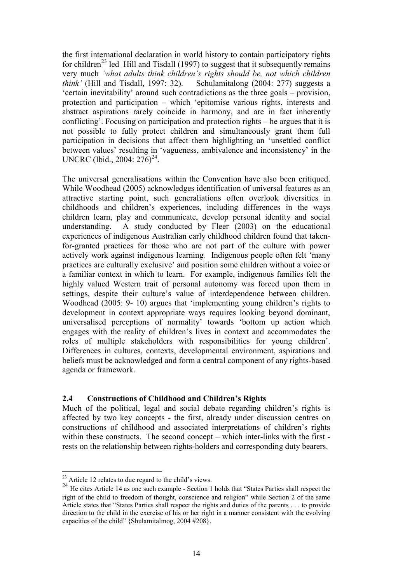<span id="page-18-0"></span>the first international declaration in world history to contain participatory rights for children<sup>23</sup> led Hill and Tisdall (1997) to suggest that it subsequently remains very much *'what adults think children's rights should be, not which children think'* (Hill and Tisdall, 1997: 32). Schulamitalong (2004: 277) suggests a 'certain inevitability' around such contradictions as the three goals – provision, protection and participation – which 'epitomise various rights, interests and abstract aspirations rarely coincide in harmony, and are in fact inherently conflicting'. Focusing on participation and protection rights – he argues that it is not possible to fully protect children and simultaneously grant them full participation in decisions that affect them highlighting an 'unsettled conflict between values' resulting in 'vagueness, ambivalence and inconsistency' in the UNCRC (Ibid., 2004:  $276)^{24}$ .

The universal generalisations within the Convention have also been critiqued. While Woodhead (2005) acknowledges identification of universal features as an attractive starting point, such generaliations often overlook diversities in childhoods and children's experiences, including differences in the ways children learn, play and communicate, develop personal identity and social understanding. A study conducted by Fleer (2003) on the educational experiences of indigenous Australian early childhood children found that takenfor-granted practices for those who are not part of the culture with power actively work against indigenous learning. Indigenous people often felt 'many practices are culturally exclusive' and position some children without a voice or a familiar context in which to learn. For example, indigenous families felt the highly valued Western trait of personal autonomy was forced upon them in settings, despite their culture's value of interdependence between children. Woodhead (2005: 9- 10) argues that 'implementing young children's rights to development in context appropriate ways requires looking beyond dominant, universalised perceptions of normality' towards 'bottom up action which engages with the reality of children's lives in context and accommodates the roles of multiple stakeholders with responsibilities for young children'. Differences in cultures, contexts, developmental environment, aspirations and beliefs must be acknowledged and form a central component of any rights-based agenda or framework.

### **2.4 Constructions of Childhood and Children's Rights**

Much of the political, legal and social debate regarding children's rights is affected by two key concepts - the first, already under discussion centres on constructions of childhood and associated interpretations of children's rights within these constructs. The second concept – which inter-links with the first rests on the relationship between rights-holders and corresponding duty bearers.

 $\overline{a}$  $^{23}$  Article 12 relates to due regard to the child's views.

<sup>&</sup>lt;sup>24</sup> He cites Article 14 as one such example - Section 1 holds that "States Parties shall respect the right of the child to freedom of thought, conscience and religion" while Section 2 of the same Article states that "States Parties shall respect the rights and duties of the parents . . . to provide direction to the child in the exercise of his or her right in a manner consistent with the evolving capacities of the child" {Shulamitalmog, 2004 #208}.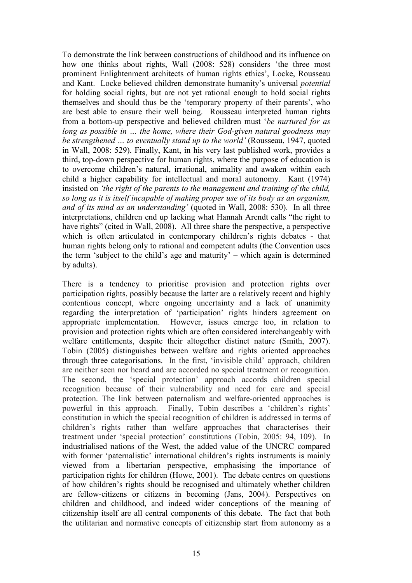To demonstrate the link between constructions of childhood and its influence on how one thinks about rights, Wall (2008: 528) considers 'the three most prominent Enlightenment architects of human rights ethics', Locke, Rousseau and Kant. Locke believed children demonstrate humanity's universal *potential*  for holding social rights, but are not yet rational enough to hold social rights themselves and should thus be the 'temporary property of their parents', who are best able to ensure their well being. Rousseau interpreted human rights from a bottom-up perspective and believed children must '*be nurtured for as long as possible in … the home, where their God-given natural goodness may be strengthened … to eventually stand up to the world'* (Rousseau, 1947, quoted in Wall, 2008: 529). Finally, Kant, in his very last published work, provides a third, top-down perspective for human rights, where the purpose of education is to overcome children's natural, irrational, animality and awaken within each child a higher capability for intellectual and moral autonomy. Kant (1974) insisted on *'the right of the parents to the management and training of the child, so long as it is itself incapable of making proper use of its body as an organism, and of its mind as an understanding'* (quoted in Wall, 2008: 530). In all three interpretations, children end up lacking what Hannah Arendt calls "the right to have rights" (cited in Wall, 2008). All three share the perspective, a perspective which is often articulated in contemporary children's rights debates - that human rights belong only to rational and competent adults (the Convention uses the term 'subject to the child's age and maturity' – which again is determined by adults).

There is a tendency to prioritise provision and protection rights over participation rights, possibly because the latter are a relatively recent and highly contentious concept, where ongoing uncertainty and a lack of unanimity regarding the interpretation of 'participation' rights hinders agreement on appropriate implementation. However, issues emerge too, in relation to However, issues emerge too, in relation to provision and protection rights which are often considered interchangeably with welfare entitlements, despite their altogether distinct nature (Smith, 2007). Tobin (2005) distinguishes between welfare and rights oriented approaches through three categorisations. In the first, 'invisible child' approach, children are neither seen nor heard and are accorded no special treatment or recognition. The second, the 'special protection' approach accords children special recognition because of their vulnerability and need for care and special protection. The link between paternalism and welfare-oriented approaches is powerful in this approach. Finally, Tobin describes a 'children's rights' constitution in which the special recognition of children is addressed in terms of children's rights rather than welfare approaches that characterises their treatment under 'special protection' constitutions (Tobin, 2005: 94, 109).In industrialised nations of the West, the added value of the UNCRC compared with former 'paternalistic' international children's rights instruments is mainly viewed from a libertarian perspective, emphasising the importance of participation rights for children (Howe, 2001). The debate centres on questions of how children's rights should be recognised and ultimately whether children are fellow-citizens or citizens in becoming (Jans, 2004). Perspectives on children and childhood, and indeed wider conceptions of the meaning of citizenship itself are all central components of this debate. The fact that both the utilitarian and normative concepts of citizenship start from autonomy as a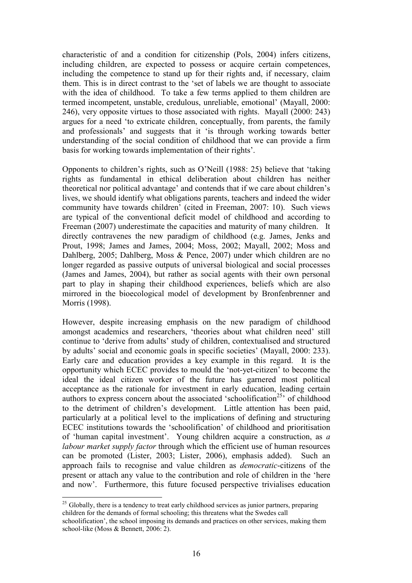characteristic of and a condition for citizenship (Pols, 2004) infers citizens, including children, are expected to possess or acquire certain competences, including the competence to stand up for their rights and, if necessary, claim them. This is in direct contrast to the 'set of labels we are thought to associate with the idea of childhood. To take a few terms applied to them children are termed incompetent, unstable, credulous, unreliable, emotional' (Mayall, 2000: 246), very opposite virtues to those associated with rights. Mayall (2000: 243) argues for a need 'to extricate children, conceptually, from parents, the family and professionals' and suggests that it 'is through working towards better understanding of the social condition of childhood that we can provide a firm basis for working towards implementation of their rights'.

Opponents to children's rights, such as O'Neill (1988: 25) believe that 'taking rights as fundamental in ethical deliberation about children has neither theoretical nor political advantage' and contends that if we care about children's lives, we should identify what obligations parents, teachers and indeed the wider community have towards children' (cited in Freeman, 2007: 10). Such views are typical of the conventional deficit model of childhood and according to Freeman (2007) underestimate the capacities and maturity of many children. It directly contravenes the new paradigm of childhood (e.g. James, Jenks and Prout, 1998; James and James, 2004; Moss, 2002; Mayall, 2002; Moss and Dahlberg, 2005; Dahlberg, Moss & Pence, 2007) under which children are no longer regarded as passive outputs of universal biological and social processes (James and James, 2004), but rather as social agents with their own personal part to play in shaping their childhood experiences, beliefs which are also mirrored in the bioecological model of development by Bronfenbrenner and Morris (1998).

However, despite increasing emphasis on the new paradigm of childhood amongst academics and researchers, 'theories about what children need' still continue to 'derive from adults' study of children, contextualised and structured by adults' social and economic goals in specific societies' (Mayall, 2000: 233). Early care and education provides a key example in this regard. It is the opportunity which ECEC provides to mould the 'not-yet-citizen' to become the ideal the ideal citizen worker of the future has garnered most political acceptance as the rationale for investment in early education, leading certain authors to express concern about the associated 'schoolification<sup>25</sup>' of childhood to the detriment of children's development. Little attention has been paid, particularly at a political level to the implications of defining and structuring ECEC institutions towards the 'schoolification' of childhood and prioritisation of 'human capital investment'. Young children acquire a construction, as *a labour market supply factor* through which the efficient use of human resources can be promoted (Lister, 2003; Lister, 2006), emphasis added). Such an approach fails to recognise and value children as *democratic*-citizens of the present or attach any value to the contribution and role of children in the 'here and now'. Furthermore, this future focused perspective trivialises education

 $\overline{a}$ <sup>25</sup> Globally, there is a tendency to treat early childhood services as junior partners, preparing children for the demands of formal schooling; this threatens what the Swedes call

schoolification', the school imposing its demands and practices on other services, making them school-like (Moss & Bennett, 2006: 2).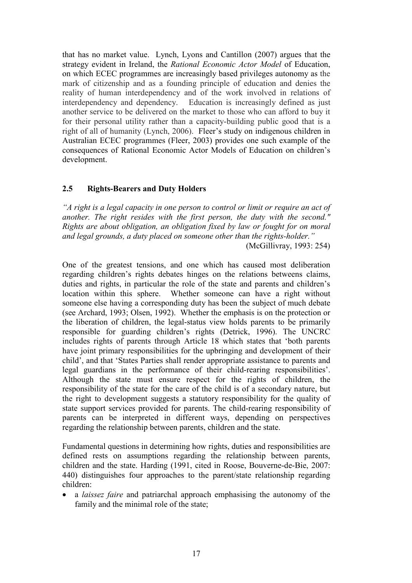<span id="page-21-0"></span>that has no market value. Lynch, Lyons and Cantillon (2007) argues that the strategy evident in Ireland, the *Rational Economic Actor Model* of Education, on which ECEC programmes are increasingly based privileges autonomy as the mark of citizenship and as a founding principle of education and denies the reality of human interdependency and of the work involved in relations of interdependency and dependency. Education is increasingly defined as just another service to be delivered on the market to those who can afford to buy it for their personal utility rather than a capacity-building public good that is a right of all of humanity (Lynch, 2006). Fleer's study on indigenous children in Australian ECEC programmes (Fleer, 2003) provides one such example of the consequences of Rational Economic Actor Models of Education on children's development.

### **2.5 Rights-Bearers and Duty Holders**

*"A right is a legal capacity in one person to control or limit or require an act of another. The right resides with the first person, the duty with the second." Rights are about obligation, an obligation fixed by law or fought for on moral and legal grounds, a duty placed on someone other than the rights-holder."*  (McGillivray, 1993: 254)

One of the greatest tensions, and one which has caused most deliberation regarding children's rights debates hinges on the relations betweens claims, duties and rights, in particular the role of the state and parents and children's location within this sphere. Whether someone can have a right without someone else having a corresponding duty has been the subject of much debate (see Archard, 1993; Olsen, 1992). Whether the emphasis is on the protection or the liberation of children, the legal-status view holds parents to be primarily responsible for guarding children's rights (Detrick, 1996). The UNCRC includes rights of parents through Article 18 which states that 'both parents have joint primary responsibilities for the upbringing and development of their child', and that 'States Parties shall render appropriate assistance to parents and legal guardians in the performance of their child-rearing responsibilities'. Although the state must ensure respect for the rights of children, the responsibility of the state for the care of the child is of a secondary nature, but the right to development suggests a statutory responsibility for the quality of state support services provided for parents. The child-rearing responsibility of parents can be interpreted in different ways, depending on perspectives regarding the relationship between parents, children and the state.

Fundamental questions in determining how rights, duties and responsibilities are defined rests on assumptions regarding the relationship between parents, children and the state. Harding (1991, cited in Roose, Bouverne-de-Bie, 2007: 440) distinguishes four approaches to the parent/state relationship regarding children:

• a *laissez faire* and patriarchal approach emphasising the autonomy of the family and the minimal role of the state;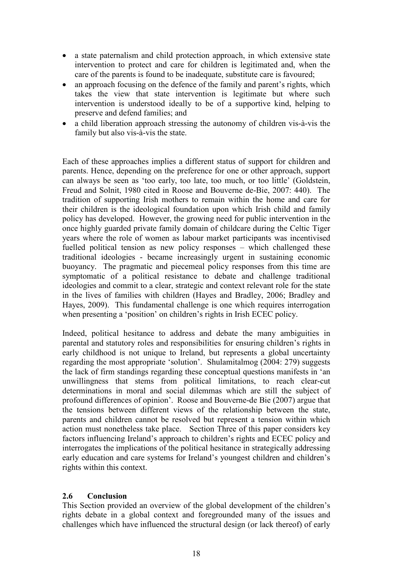- <span id="page-22-0"></span>• a state paternalism and child protection approach, in which extensive state intervention to protect and care for children is legitimated and, when the care of the parents is found to be inadequate, substitute care is favoured;
- an approach focusing on the defence of the family and parent's rights, which takes the view that state intervention is legitimate but where such intervention is understood ideally to be of a supportive kind, helping to preserve and defend families; and
- a child liberation approach stressing the autonomy of children vis-à-vis the family but also vis-à-vis the state.

Each of these approaches implies a different status of support for children and parents. Hence, depending on the preference for one or other approach, support can always be seen as 'too early, too late, too much, or too little' (Goldstein, Freud and Solnit, 1980 cited in Roose and Bouverne de-Bie, 2007: 440). The tradition of supporting Irish mothers to remain within the home and care for their children is the ideological foundation upon which Irish child and family policy has developed. However, the growing need for public intervention in the once highly guarded private family domain of childcare during the Celtic Tiger years where the role of women as labour market participants was incentivised fuelled political tension as new policy responses – which challenged these traditional ideologies - became increasingly urgent in sustaining economic buoyancy. The pragmatic and piecemeal policy responses from this time are symptomatic of a political resistance to debate and challenge traditional ideologies and commit to a clear, strategic and context relevant role for the state in the lives of families with children (Hayes and Bradley, 2006; Bradley and Hayes, 2009). This fundamental challenge is one which requires interrogation when presenting a 'position' on children's rights in Irish ECEC policy.

Indeed, political hesitance to address and debate the many ambiguities in parental and statutory roles and responsibilities for ensuring children's rights in early childhood is not unique to Ireland, but represents a global uncertainty regarding the most appropriate 'solution'. Shulamitalmog (2004: 279) suggests the lack of firm standings regarding these conceptual questions manifests in 'an unwillingness that stems from political limitations, to reach clear-cut determinations in moral and social dilemmas which are still the subject of profound differences of opinion'. Roose and Bouverne-de Bie (2007) argue that the tensions between different views of the relationship between the state, parents and children cannot be resolved but represent a tension within which action must nonetheless take place. Section Three of this paper considers key factors influencing Ireland's approach to children's rights and ECEC policy and interrogates the implications of the political hesitance in strategically addressing early education and care systems for Ireland's youngest children and children's rights within this context.

### **2.6 Conclusion**

This Section provided an overview of the global development of the children's rights debate in a global context and foregrounded many of the issues and challenges which have influenced the structural design (or lack thereof) of early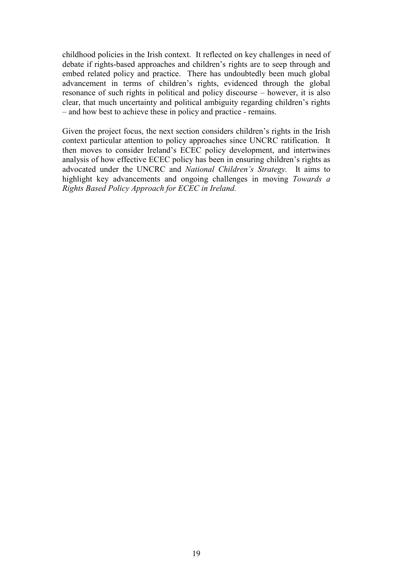childhood policies in the Irish context. It reflected on key challenges in need of debate if rights-based approaches and children's rights are to seep through and embed related policy and practice. There has undoubtedly been much global advancement in terms of children's rights, evidenced through the global resonance of such rights in political and policy discourse – however, it is also clear, that much uncertainty and political ambiguity regarding children's rights – and how best to achieve these in policy and practice - remains.

Given the project focus, the next section considers children's rights in the Irish context particular attention to policy approaches since UNCRC ratification. It then moves to consider Ireland's ECEC policy development, and intertwines analysis of how effective ECEC policy has been in ensuring children's rights as advocated under the UNCRC and *National Children's Strategy.* It aims to highlight key advancements and ongoing challenges in moving *Towards a Rights Based Policy Approach for ECEC in Ireland.*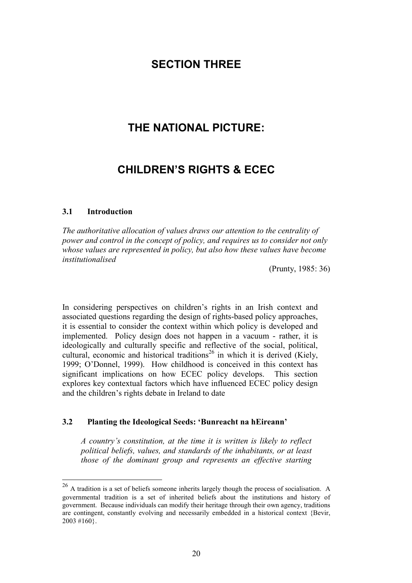### <span id="page-24-0"></span>**SECTION THREE**

### **THE NATIONAL PICTURE:**

### **CHILDREN'S RIGHTS & ECEC**

### **3.1 Introduction**

 $\overline{a}$ 

*The authoritative allocation of values draws our attention to the centrality of power and control in the concept of policy, and requires us to consider not only whose values are represented in policy, but also how these values have become institutionalised* 

(Prunty, 1985: 36)

In considering perspectives on children's rights in an Irish context and associated questions regarding the design of rights-based policy approaches, it is essential to consider the context within which policy is developed and implemented. Policy design does not happen in a vacuum - rather, it is ideologically and culturally specific and reflective of the social, political, cultural, economic and historical traditions<sup>26</sup> in which it is derived (Kiely, 1999; O'Donnel, 1999). How childhood is conceived in this context has significant implications on how ECEC policy develops. This section explores key contextual factors which have influenced ECEC policy design and the children's rights debate in Ireland to date

### **3.2 Planting the Ideological Seeds: 'Bunreacht na hEireann'**

*A country's constitution, at the time it is written is likely to reflect political beliefs, values, and standards of the inhabitants, or at least those of the dominant group and represents an effective starting* 

 $^{26}$  A tradition is a set of beliefs someone inherits largely though the process of socialisation. A governmental tradition is a set of inherited beliefs about the institutions and history of government. Because individuals can modify their heritage through their own agency, traditions are contingent, constantly evolving and necessarily embedded in a historical context {Bevir, 2003 #160}.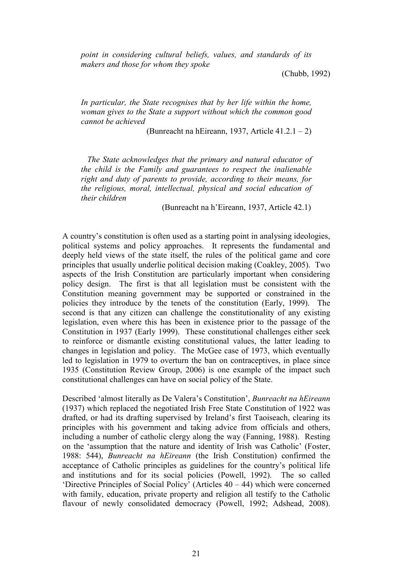*point in considering cultural beliefs, values, and standards of its makers and those for whom they spoke*

(Chubb, 1992)

*In particular, the State recognises that by her life within the home, woman gives to the State a support without which the common good cannot be achieved* 

(Bunreacht na hEireann, 1937, Article 41.2.1 – 2)

 *The State acknowledges that the primary and natural educator of the child is the Family and guarantees to respect the inalienable right and duty of parents to provide, according to their means, for the religious, moral, intellectual, physical and social education of their children* 

(Bunreacht na h'Eireann, 1937, Article 42.1)

A country's constitution is often used as a starting point in analysing ideologies, political systems and policy approaches. It represents the fundamental and deeply held views of the state itself, the rules of the political game and core principles that usually underlie political decision making (Coakley, 2005). Two aspects of the Irish Constitution are particularly important when considering policy design. The first is that all legislation must be consistent with the Constitution meaning government may be supported or constrained in the policies they introduce by the tenets of the constitution (Early, 1999). The second is that any citizen can challenge the constitutionality of any existing legislation, even where this has been in existence prior to the passage of the Constitution in 1937 (Early 1999). These constitutional challenges either seek to reinforce or dismantle existing constitutional values, the latter leading to changes in legislation and policy. The McGee case of 1973, which eventually led to legislation in 1979 to overturn the ban on contraceptives, in place since 1935 (Constitution Review Group, 2006) is one example of the impact such constitutional challenges can have on social policy of the State.

Described 'almost literally as De Valera's Constitution', *Bunreacht na hEireann* (1937) which replaced the negotiated Irish Free State Constitution of 1922 was drafted, or had its drafting supervised by Ireland's first Taoiseach, clearing its principles with his government and taking advice from officials and others, including a number of catholic clergy along the way (Fanning, 1988). Resting on the 'assumption that the nature and identity of Irish was Catholic' (Foster, 1988: 544), *Bunreacht na hEireann* (the Irish Constitution) confirmed the acceptance of Catholic principles as guidelines for the country's political life and institutions and for its social policies (Powell, 1992). The so called 'Directive Principles of Social Policy' (Articles 40 – 44) which were concerned with family, education, private property and religion all testify to the Catholic flavour of newly consolidated democracy (Powell, 1992; Adshead, 2008).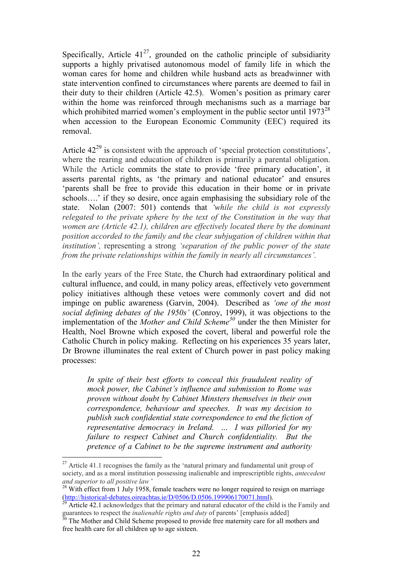Specifically, Article  $41^{27}$ , grounded on the catholic principle of subsidiarity supports a highly privatised autonomous model of family life in which the woman cares for home and children while husband acts as breadwinner with state intervention confined to circumstances where parents are deemed to fail in their duty to their children (Article 42.5). Women's position as primary carer within the home was reinforced through mechanisms such as a marriage bar which prohibited married women's employment in the public sector until  $1973^{28}$ when accession to the European Economic Community (EEC) required its removal.

Article  $42^{29}$  is consistent with the approach of 'special protection constitutions'. where the rearing and education of children is primarily a parental obligation. While the Article commits the state to provide 'free primary education', it asserts parental rights, as 'the primary and national educator' and ensures 'parents shall be free to provide this education in their home or in private schools….' if they so desire, once again emphasising the subsidiary role of the state.Nolan (2007: 501) contends that *'while the child is not expressly relegated to the private sphere by the text of the Constitution in the way that women are (Article 42.1), children are effectively located there by the dominant position accorded to the family and the clear subjugation of children within that institution',* representing a strong *'separation of the public power of the state from the private relationships within the family in nearly all circumstances'.*

In the early years of the Free State, the Church had extraordinary political and cultural influence, and could, in many policy areas, effectively veto government policy initiatives although these vetoes were commonly covert and did not impinge on public awareness (Garvin, 2004). Described as *'one of the most social defining debates of the 1950s'* (Conroy, 1999), it was objections to the implementation of the *Mother and Child Scheme<sup>30</sup>* under the then Minister for Health, Noel Browne which exposed the covert, liberal and powerful role the Catholic Church in policy making. Reflecting on his experiences 35 years later, Dr Browne illuminates the real extent of Church power in past policy making processes:

*In spite of their best efforts to conceal this fraudulent reality of mock power, the Cabinet's influence and submission to Rome was proven without doubt by Cabinet Minsters themselves in their own correspondence, behaviour and speeches. It was my decision to publish such confidential state correspondence to end the fiction of representative democracy in Ireland. … I was pilloried for my failure to respect Cabinet and Church confidentiality. But the pretence of a Cabinet to be the supreme instrument and authority* 

 $\overline{a}$  $27$  Article 41.1 recognises the family as the 'natural primary and fundamental unit group of society, and as a moral institution possessing inalienable and imprescriptible rights, *antecedent and superior to all positive law* '

 $28$  With effect from 1 July 1958, female teachers were no longer required to resign on marriage (http://historical-debates.oireachtas.ie/ $D/0506/D.0506.199906170071$ .html).

 $\overrightarrow{A}$ rticle 42.1 acknowledges that the primary and natural educator of the child is the Family and guarantees to respect the *inalienable rights and duty* of parents' [emphasis added]

The Mother and Child Scheme proposed to provide free maternity care for all mothers and free health care for all children up to age sixteen.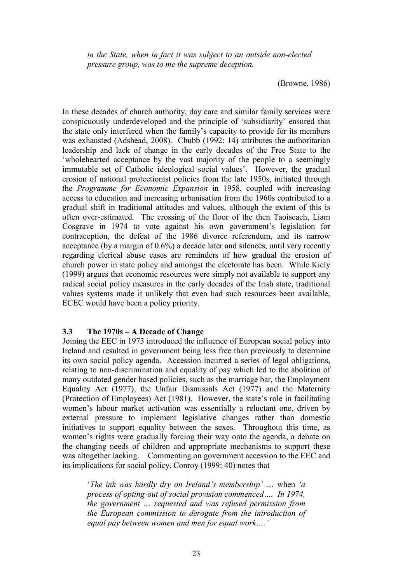<span id="page-27-0"></span>*in the State, when in fact it was subject to an outside non-elected pressure group, was to me the supreme deception.* 

(Browne, 1986)

In these decades of church authority, day care and similar family services were conspicuously underdeveloped and the principle of 'subsidiarity' ensured that the state only interfered when the family's capacity to provide for its members was exhausted (Adshead, 2008).Chubb (1992: 14) attributes the authoritarian leadership and lack of change in the early decades of the Free State to the 'wholehearted acceptance by the vast majority of the people to a seemingly immutable set of Catholic ideological social values'. However, the gradual erosion of national protectionist policies from the late 1950s, initiated through the *Programme for Economic Expansion* in 1958, coupled with increasing access to education and increasing urbanisation from the 1960s contributed to a gradual shift in traditional attitudes and values, although the extent of this is often over-estimated. The crossing of the floor of the then Taoiseach, Liam Cosgrave in 1974 to vote against his own government's legislation for contraception, the defeat of the 1986 divorce referendum, and its narrow acceptance (by a margin of 0.6%) a decade later and silences, until very recently regarding clerical abuse cases are reminders of how gradual the erosion of church power in state policy and amongst the electorate has been. While Kiely (1999) argues that economic resources were simply not available to support any radical social policy measures in the early decades of the Irish state, traditional values systems made it unlikely that even had such resources been available, ECEC would have been a policy priority.

#### **3.3 The 1970s – A Decade of Change**

Joining the EEC in 1973 introduced the influence of European social policy into Ireland and resulted in government being less free than previously to determine its own social policy agenda. Accession incurred a series of legal obligations, relating to non-discrimination and equality of pay which led to the abolition of many outdated gender based policies, such as the marriage bar, the Employment Equality Act (1977), the Unfair Dismissals Act (1977) and the Maternity (Protection of Employees) Act (1981). However, the state's role in facilitating women's labour market activation was essentially a reluctant one, driven by external pressure to implement legislative changes rather than domestic initiatives to support equality between the sexes. Throughout this time, as women's rights were gradually forcing their way onto the agenda, a debate on the changing needs of children and appropriate mechanisms to support these was altogether lacking. Commenting on government accession to the EEC and its implications for social policy, Conroy (1999: 40) notes that

'*The ink was hardly dry on Ireland's membership'* … when *'a process of opting-out of social provision commenced…. In 1974, the government … requested and was refused permission from the European commission to derogate from the introduction of equal pay between women and men for equal work….'*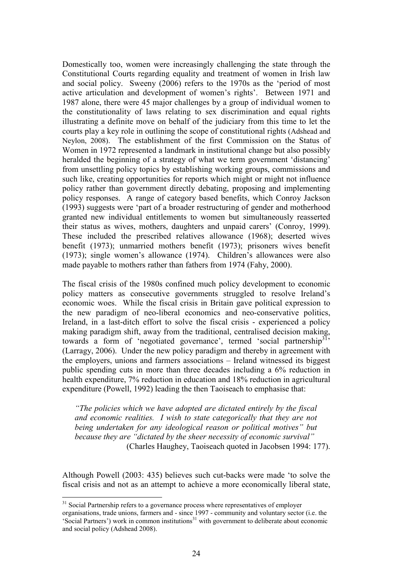Domestically too, women were increasingly challenging the state through the Constitutional Courts regarding equality and treatment of women in Irish law and social policy. Sweeny (2006) refers to the 1970s as the 'period of most active articulation and development of women's rights'. Between 1971 and 1987 alone, there were 45 major challenges by a group of individual women to the constitutionality of laws relating to sex discrimination and equal rights illustrating a definite move on behalf of the judiciary from this time to let the courts play a key role in outlining the scope of constitutional rights (Adshead and Neylon, 2008). The establishment of the first Commission on the Status of Women in 1972 represented a landmark in institutional change but also possibly heralded the beginning of a strategy of what we term government 'distancing' from unsettling policy topics by establishing working groups, commissions and such like, creating opportunities for reports which might or might not influence policy rather than government directly debating, proposing and implementing policy responses. A range of category based benefits, which Conroy Jackson (1993) suggests were 'part of a broader restructuring of gender and motherhood granted new individual entitlements to women but simultaneously reasserted their status as wives, mothers, daughters and unpaid carers' (Conroy, 1999). These included the prescribed relatives allowance (1968); deserted wives benefit (1973); unmarried mothers benefit (1973); prisoners wives benefit (1973); single women's allowance (1974). Children's allowances were also made payable to mothers rather than fathers from 1974 (Fahy, 2000).

The fiscal crisis of the 1980s confined much policy development to economic policy matters as consecutive governments struggled to resolve Ireland's economic woes. While the fiscal crisis in Britain gave political expression to the new paradigm of neo-liberal economics and neo-conservative politics, Ireland, in a last-ditch effort to solve the fiscal crisis - experienced a policy making paradigm shift, away from the traditional, centralised decision making, towards a form of 'negotiated governance', termed 'social partnership<sup>31,</sup> (Larragy, 2006). Under the new policy paradigm and thereby in agreement with the employers, unions and farmers associations – Ireland witnessed its biggest public spending cuts in more than three decades including a 6% reduction in health expenditure, 7% reduction in education and 18% reduction in agricultural expenditure (Powell, 1992) leading the then Taoiseach to emphasise that:

*"The policies which we have adopted are dictated entirely by the fiscal and economic realities. I wish to state categorically that they are not being undertaken for any ideological reason or political motives" but because they are "dictated by the sheer necessity of economic survival"*  (Charles Haughey, Taoiseach quoted in Jacobsen 1994: 177).

Although Powell (2003: 435) believes such cut-backs were made 'to solve the fiscal crisis and not as an attempt to achieve a more economically liberal state,

 $\overline{a}$ <sup>31</sup> Social Partnership refers to a governance process where representatives of employer

organisations, trade unions, farmers and - since 1997 - community and voluntary sector (i.e. the 'Social Partners') work in common institutions<sup>31</sup> with government to deliberate about economic and social policy (Adshead 2008).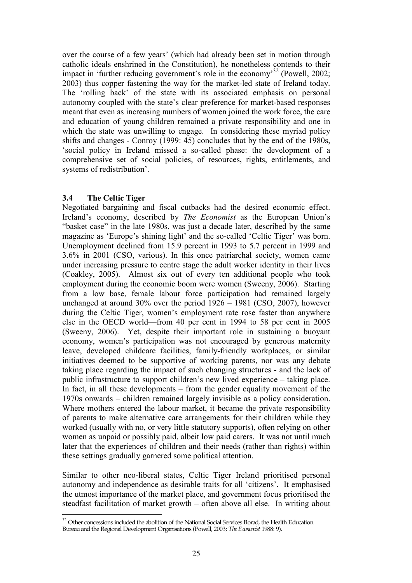<span id="page-29-0"></span>over the course of a few years' (which had already been set in motion through catholic ideals enshrined in the Constitution), he nonetheless contends to their impact in 'further reducing government's role in the economy<sup>32</sup> (Powell, 2002; 2003) thus copper fastening the way for the market-led state of Ireland today. The 'rolling back' of the state with its associated emphasis on personal autonomy coupled with the state's clear preference for market-based responses meant that even as increasing numbers of women joined the work force, the care and education of young children remained a private responsibility and one in which the state was unwilling to engage. In considering these myriad policy shifts and changes - Conroy (1999: 45) concludes that by the end of the 1980s, 'social policy in Ireland missed a so-called phase: the development of a comprehensive set of social policies, of resources, rights, entitlements, and systems of redistribution'.

### **3.4 The Celtic Tiger**

Negotiated bargaining and fiscal cutbacks had the desired economic effect. Ireland's economy, described by *The Economist* as the European Union's "basket case" in the late 1980s, was just a decade later, described by the same magazine as 'Europe's shining light' and the so-called 'Celtic Tiger' was born. Unemployment declined from 15.9 percent in 1993 to 5.7 percent in 1999 and 3.6% in 2001 (CSO, various). In this once patriarchal society, women came under increasing pressure to centre stage the adult worker identity in their lives (Coakley, 2005). Almost six out of every ten additional people who took employment during the economic boom were women (Sweeny, 2006). Starting from a low base, female labour force participation had remained largely unchanged at around  $30\%$  over the period  $1926 - 1981$  (CSO, 2007), however during the Celtic Tiger, women's employment rate rose faster than anywhere else in the OECD world—from 40 per cent in 1994 to 58 per cent in 2005 (Sweeny, 2006). Yet, despite their important role in sustaining a buoyant economy, women's participation was not encouraged by generous maternity leave, developed childcare facilities, family-friendly workplaces, or similar initiatives deemed to be supportive of working parents, nor was any debate taking place regarding the impact of such changing structures - and the lack of public infrastructure to support children's new lived experience – taking place. In fact, in all these developments – from the gender equality movement of the 1970s onwards – children remained largely invisible as a policy consideration. Where mothers entered the labour market, it became the private responsibility of parents to make alternative care arrangements for their children while they worked (usually with no, or very little statutory supports), often relying on other women as unpaid or possibly paid, albeit low paid carers. It was not until much later that the experiences of children and their needs (rather than rights) within these settings gradually garnered some political attention.

Similar to other neo-liberal states, Celtic Tiger Ireland prioritised personal autonomy and independence as desirable traits for all 'citizens'. It emphasised the utmost importance of the market place, and government focus prioritised the steadfast facilitation of market growth – often above all else. In writing about

 $\overline{a}$  $32$  Other concessions included the abolition of the National Social Services Borad, the Health Education Bureau and the Regional Development Organisations (Powell, 2003; *The Economist* 1988: 9).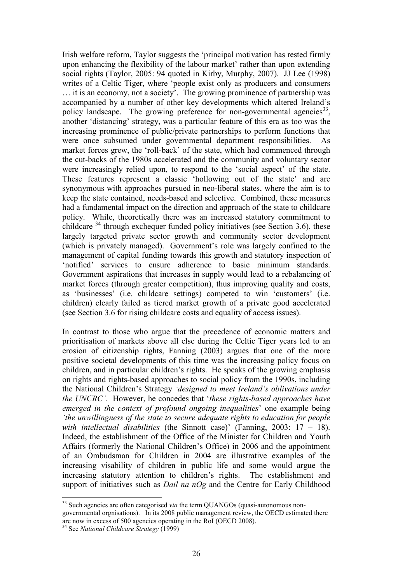Irish welfare reform, Taylor suggests the 'principal motivation has rested firmly upon enhancing the flexibility of the labour market' rather than upon extending social rights (Taylor, 2005: 94 quoted in Kirby, Murphy, 2007). JJ Lee (1998) writes of a Celtic Tiger, where 'people exist only as producers and consumers … it is an economy, not a society'. The growing prominence of partnership was accompanied by a number of other key developments which altered Ireland's policy landscape. The growing preference for non-governmental agencies<sup>33</sup>, another 'distancing' strategy, was a particular feature of this era as too was the increasing prominence of public/private partnerships to perform functions that were once subsumed under governmental department responsibilities. As market forces grew, the 'roll-back' of the state, which had commenced through the cut-backs of the 1980s accelerated and the community and voluntary sector were increasingly relied upon, to respond to the 'social aspect' of the state. These features represent a classic 'hollowing out of the state' and are synonymous with approaches pursued in neo-liberal states, where the aim is to keep the state contained, needs-based and selective. Combined, these measures had a fundamental impact on the direction and approach of the state to childcare policy. While, theoretically there was an increased statutory commitment to childcare  $34$  through exchequer funded policy initiatives (see Section 3.6), these largely targeted private sector growth and community sector development (which is privately managed). Government's role was largely confined to the management of capital funding towards this growth and statutory inspection of 'notified' services to ensure adherence to basic minimum standards. Government aspirations that increases in supply would lead to a rebalancing of market forces (through greater competition), thus improving quality and costs, as 'businesses' (i.e. childcare settings) competed to win 'customers' (i.e. children) clearly failed as tiered market growth of a private good accelerated (see Section 3.6 for rising childcare costs and equality of access issues).

In contrast to those who argue that the precedence of economic matters and prioritisation of markets above all else during the Celtic Tiger years led to an erosion of citizenship rights, Fanning (2003) argues that one of the more positive societal developments of this time was the increasing policy focus on children, and in particular children's rights. He speaks of the growing emphasis on rights and rights-based approaches to social policy from the 1990s, including the National Children's Strategy *'designed to meet Ireland's oblivations under the UNCRC'.* However, he concedes that '*these rights-based approaches have emerged in the context of profound ongoing inequalities*' one example being *'the unwillingness of the state to secure adequate rights to education for people with intellectual disabilities* (the Sinnott case)' (Fanning, 2003: 17 – 18). Indeed, the establishment of the Office of the Minister for Children and Youth Affairs (formerly the National Children's Office) in 2006 and the appointment of an Ombudsman for Children in 2004 are illustrative examples of the increasing visability of children in public life and some would argue the increasing statutory attention to children's rights. The establishment and support of initiatives such as *Dail na nOg* and the Centre for Early Childhood

<sup>33</sup> Such agencies are often categorised *via* the term QUANGOs (quasi-autonomous nongovernmental orgnisations). In its 2008 public management review, the OECD estimated there are now in excess of 500 agencies operating in the RoI (OECD 2008).

<sup>34</sup> See *National Childcare Strategy* (1999)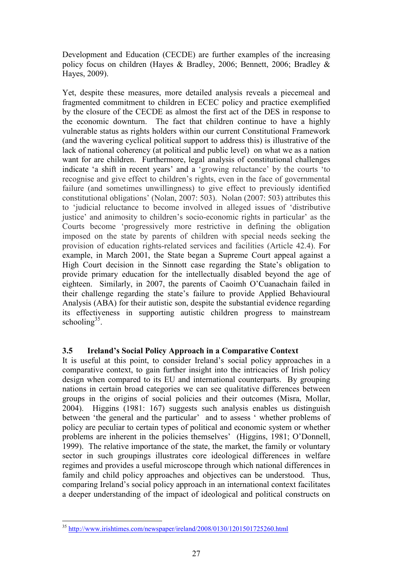<span id="page-31-0"></span>Development and Education (CECDE) are further examples of the increasing policy focus on children (Hayes & Bradley, 2006; Bennett, 2006; Bradley & Hayes, 2009).

Yet, despite these measures, more detailed analysis reveals a piecemeal and fragmented commitment to children in ECEC policy and practice exemplified by the closure of the CECDE as almost the first act of the DES in response to the economic downturn. The fact that children continue to have a highly vulnerable status as rights holders within our current Constitutional Framework (and the wavering cyclical political support to address this) is illustrative of the lack of national coherency (at political and public level) on what we as a nation want for are children. Furthermore, legal analysis of constitutional challenges indicate 'a shift in recent years' and a 'growing reluctance' by the courts 'to recognise and give effect to children's rights, even in the face of governmental failure (and sometimes unwillingness) to give effect to previously identified constitutional obligations' (Nolan, 2007: 503). Nolan (2007: 503) attributes this to 'judicial reluctance to become involved in alleged issues of 'distributive justice' and animosity to children's socio-economic rights in particular' as the Courts become 'progressively more restrictive in defining the obligation imposed on the state by parents of children with special needs seeking the provision of education rights-related services and facilities (Article 42.4). For example, in March 2001, the State began a Supreme Court appeal against a High Court decision in the Sinnott case regarding the State's obligation to provide primary education for the intellectually disabled beyond the age of eighteen. Similarly, in 2007, the parents of Caoimh O'Cuanachain failed in their challenge regarding the state's failure to provide Applied Behavioural Analysis (ABA) for their autistic son, despite the substantial evidence regarding its effectiveness in supporting autistic children progress to mainstream schooling $35$ .

### **3.5 Ireland's Social Policy Approach in a Comparative Context**

It is useful at this point, to consider Ireland's social policy approaches in a comparative context, to gain further insight into the intricacies of Irish policy design when compared to its EU and international counterparts. By grouping nations in certain broad categories we can see qualitative differences between groups in the origins of social policies and their outcomes (Misra, Mollar, 2004). Higgins (1981: 167) suggests such analysis enables us distinguish between 'the general and the particular' and to assess ' whether problems of policy are peculiar to certain types of political and economic system or whether problems are inherent in the policies themselves' (Higgins, 1981; O'Donnell, 1999). The relative importance of the state, the market, the family or voluntary sector in such groupings illustrates core ideological differences in welfare regimes and provides a useful microscope through which national differences in family and child policy approaches and objectives can be understood. Thus, comparing Ireland's social policy approach in an international context facilitates a deeper understanding of the impact of ideological and political constructs on

<sup>&</sup>lt;sup>35</sup> <http://www.irishtimes.com/newspaper/ireland/2008/0130/1201501725260.html>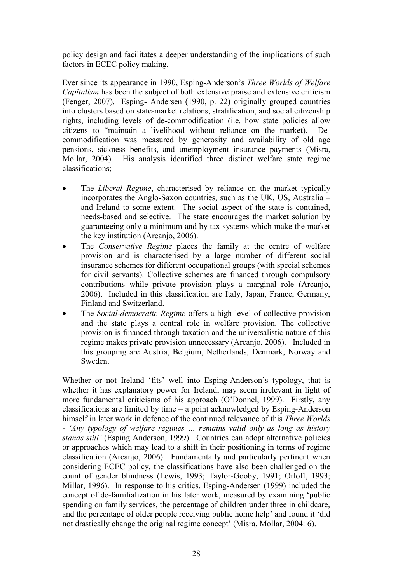policy design and facilitates a deeper understanding of the implications of such factors in ECEC policy making.

Ever since its appearance in 1990, Esping-Anderson's *Three Worlds of Welfare Capitalism* has been the subject of both extensive praise and extensive criticism (Fenger, 2007). Esping- Andersen (1990, p. 22) originally grouped countries into clusters based on state-market relations, stratification, and social citizenship rights, including levels of de-commodification (i.e. how state policies allow citizens to "maintain a livelihood without reliance on the market). Decommodification was measured by generosity and availability of old age pensions, sickness benefits, and unemployment insurance payments (Misra, Mollar, 2004). His analysis identified three distinct welfare state regime classifications;

- The *Liberal Regime*, characterised by reliance on the market typically incorporates the Anglo-Saxon countries, such as the UK, US, Australia – and Ireland to some extent. The social aspect of the state is contained, needs-based and selective. The state encourages the market solution by guaranteeing only a minimum and by tax systems which make the market the key institution (Arcanjo, 2006).
- The *Conservative Regime* places the family at the centre of welfare provision and is characterised by a large number of different social insurance schemes for different occupational groups (with special schemes for civil servants). Collective schemes are financed through compulsory contributions while private provision plays a marginal role (Arcanjo, 2006). Included in this classification are Italy, Japan, France, Germany, Finland and Switzerland.
- The *Social-democratic Regime* offers a high level of collective provision and the state plays a central role in welfare provision. The collective provision is financed through taxation and the universalistic nature of this regime makes private provision unnecessary (Arcanjo, 2006). Included in this grouping are Austria, Belgium, Netherlands, Denmark, Norway and Sweden.

Whether or not Ireland 'fits' well into Esping-Anderson's typology, that is whether it has explanatory power for Ireland, may seem irrelevant in light of more fundamental criticisms of his approach (O'Donnel, 1999). Firstly, any classifications are limited by time – a point acknowledged by Esping-Anderson himself in later work in defence of the continued relevance of this *Three Worlds* - *'Any typology of welfare regimes … remains valid only as long as history stands still'* (Esping Anderson, 1999). Countries can adopt alternative policies or approaches which may lead to a shift in their positioning in terms of regime classification (Arcanjo, 2006). Fundamentally and particularly pertinent when considering ECEC policy, the classifications have also been challenged on the count of gender blindness (Lewis, 1993; Taylor-Gooby, 1991; Orloff, 1993; Millar, 1996). In response to his critics, Esping-Andersen (1999) included the concept of de-familialization in his later work, measured by examining 'public spending on family services, the percentage of children under three in childcare, and the percentage of older people receiving public home help' and found it 'did not drastically change the original regime concept' (Misra, Mollar, 2004: 6).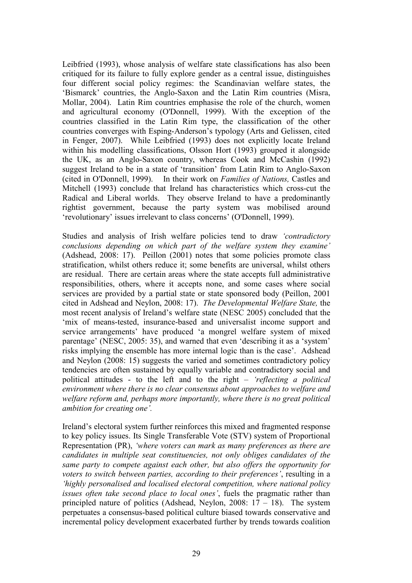Leibfried (1993), whose analysis of welfare state classifications has also been critiqued for its failure to fully explore gender as a central issue, distinguishes four different social policy regimes: the Scandinavian welfare states, the 'Bismarck' countries, the Anglo-Saxon and the Latin Rim countries (Misra, Mollar, 2004). Latin Rim countries emphasise the role of the church, women and agricultural economy (O'Donnell, 1999). With the exception of the countries classified in the Latin Rim type, the classification of the other countries converges with Esping-Anderson's typology (Arts and Gelissen, cited in Fenger, 2007). While Leibfried (1993) does not explicitly locate Ireland within his modelling classifications, Olsson Hort (1993) grouped it alongside the UK, as an Anglo-Saxon country, whereas Cook and McCashin (1992) suggest Ireland to be in a state of 'transition' from Latin Rim to Anglo-Saxon (cited in O'Donnell, 1999). In their work on *Families of Nations,* Castles and Mitchell (1993) conclude that Ireland has characteristics which cross-cut the Radical and Liberal worlds. They observe Ireland to have a predominantly rightist government, because the party system was mobilised around 'revolutionary' issues irrelevant to class concerns' (O'Donnell, 1999).

Studies and analysis of Irish welfare policies tend to draw *'contradictory conclusions depending on which part of the welfare system they examine'* (Adshead, 2008: 17). Peillon (2001) notes that some policies promote class stratification, whilst others reduce it; some benefits are universal, whilst others are residual. There are certain areas where the state accepts full administrative responsibilities, others, where it accepts none, and some cases where social services are provided by a partial state or state sponsored body (Peillon, 2001 cited in Adshead and Neylon, 2008: 17). *The Developmental Welfare State,* the most recent analysis of Ireland's welfare state (NESC 2005) concluded that the 'mix of means-tested, insurance-based and universalist income support and service arrangements' have produced 'a mongrel welfare system of mixed parentage' (NESC, 2005: 35), and warned that even 'describing it as a 'system' risks implying the ensemble has more internal logic than is the case'. Adshead and Neylon (2008: 15) suggests the varied and sometimes contradictory policy tendencies are often sustained by equally variable and contradictory social and political attitudes - to the left and to the right *– 'reflecting a political environment where there is no clear consensus about approaches to welfare and welfare reform and, perhaps more importantly, where there is no great political ambition for creating one'.* 

Ireland's electoral system further reinforces this mixed and fragmented response to key policy issues. Its Single Transferable Vote (STV) system of Proportional Representation (PR), *'where voters can mark as many preferences as there are candidates in multiple seat constituencies, not only obliges candidates of the same party to compete against each other, but also offers the opportunity for voters to switch between parties, according to their preferences'*, resulting in a *'highly personalised and localised electoral competition, where national policy issues often take second place to local ones'*, fuels the pragmatic rather than principled nature of politics (Adshead, Neylon,  $2008: 17 - 18$ ). The system perpetuates a consensus-based political culture biased towards conservative and incremental policy development exacerbated further by trends towards coalition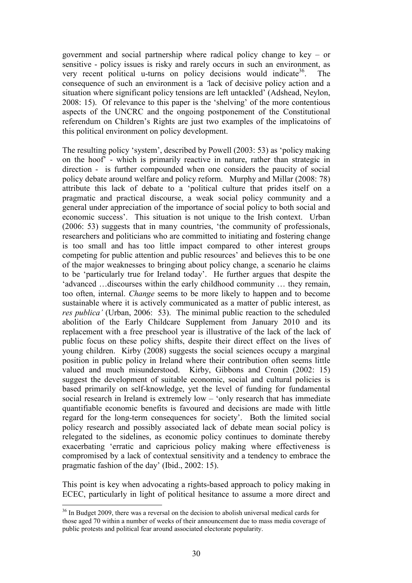government and social partnership where radical policy change to key – or sensitive - policy issues is risky and rarely occurs in such an environment, as very recent political u-turns on policy decisions would indicate<sup>36</sup>. The consequence of such an environment is a *'*lack of decisive policy action and a situation where significant policy tensions are left untackled' (Adshead, Neylon, 2008: 15). Of relevance to this paper is the 'shelving' of the more contentious aspects of the UNCRC and the ongoing postponement of the Constitutional referendum on Children's Rights are just two examples of the implicatoins of this political environment on policy development.

The resulting policy 'system', described by Powell (2003: 53) as 'policy making on the hoof' - which is primarily reactive in nature, rather than strategic in direction - is further compounded when one considers the paucity of social policy debate around welfare and policy reform. Murphy and Millar (2008: 78) attribute this lack of debate to a 'political culture that prides itself on a pragmatic and practical discourse, a weak social policy community and a general under appreciation of the importance of social policy to both social and economic success'. This situation is not unique to the Irish context. Urban (2006: 53) suggests that in many countries, 'the community of professionals, researchers and politicians who are committed to initiating and fostering change is too small and has too little impact compared to other interest groups competing for public attention and public resources' and believes this to be one of the major weaknesses to bringing about policy change, a scenario he claims to be 'particularly true for Ireland today'. He further argues that despite the 'advanced …discourses within the early childhood community … they remain, too often, internal. *Change* seems to be more likely to happen and to become sustainable where it is actively communicated as a matter of public interest, as *res publica'* (Urban, 2006: 53). The minimal public reaction to the scheduled abolition of the Early Childcare Supplement from January 2010 and its replacement with a free preschool year is illustrative of the lack of the lack of public focus on these policy shifts, despite their direct effect on the lives of young children. Kirby (2008) suggests the social sciences occupy a marginal position in public policy in Ireland where their contribution often seems little valued and much misunderstood. Kirby, Gibbons and Cronin (2002: 15) suggest the development of suitable economic, social and cultural policies is based primarily on self-knowledge, yet the level of funding for fundamental social research in Ireland is extremely low – 'only research that has immediate quantifiable economic benefits is favoured and decisions are made with little regard for the long-term consequences for society'. Both the limited social policy research and possibly associated lack of debate mean social policy is relegated to the sidelines, as economic policy continues to dominate thereby exacerbating 'erratic and capricious policy making where effectiveness is compromised by a lack of contextual sensitivity and a tendency to embrace the pragmatic fashion of the day' (Ibid., 2002: 15).

This point is key when advocating a rights-based approach to policy making in ECEC, particularly in light of political hesitance to assume a more direct and

<sup>&</sup>lt;sup>36</sup> In Budget 2009, there was a reversal on the decision to abolish universal medical cards for those aged 70 within a number of weeks of their announcement due to mass media coverage of public protests and political fear around associated electorate popularity.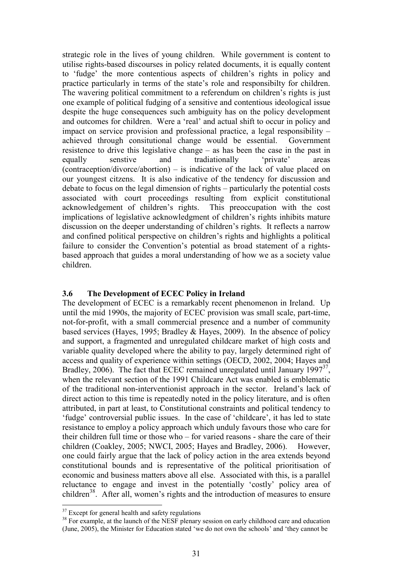<span id="page-35-0"></span>strategic role in the lives of young children. While government is content to utilise rights-based discourses in policy related documents, it is equally content to 'fudge' the more contentious aspects of children's rights in policy and practice particularly in terms of the state's role and responsibilty for children. The wavering political commitment to a referendum on children's rights is just one example of political fudging of a sensitive and contentious ideological issue despite the huge consequences such ambiguity has on the policy development and outcomes for children. Were a 'real' and actual shift to occur in policy and impact on service provision and professional practice, a legal responsibility – achieved through consitutional change would be essential. Government resistence to drive this legislative change – as has been the case in the past in equally senstive and tradiationally 'private' areas (contraception/divorce/abortion) – is indicative of the lack of value placed on our youngest citzens. It is also indicative of the tendency for discussion and debate to focus on the legal dimension of rights – particularly the potential costs associated with court proceedings resulting from explicit constitutional acknowledgement of children's rights. This preoccupation with the cost implications of legislative acknowledgment of children's rights inhibits mature discussion on the deeper understanding of children's rights. It reflects a narrow and confined political perspective on children's rights and highlights a political failure to consider the Convention's potential as broad statement of a rightsbased approach that guides a moral understanding of how we as a society value children.

#### **3.6 The Development of ECEC Policy in Ireland**

The development of ECEC is a remarkably recent phenomenon in Ireland. Up until the mid 1990s, the majority of ECEC provision was small scale, part-time, not-for-profit, with a small commercial presence and a number of community based services (Hayes, 1995; Bradley & Hayes, 2009). In the absence of policy and support, a fragmented and unregulated childcare market of high costs and variable quality developed where the ability to pay, largely determined right of access and quality of experience within settings (OECD, 2002, 2004; Hayes and Bradley, 2006). The fact that ECEC remained unregulated until January 1997 $^{37}$ , when the relevant section of the 1991 Childcare Act was enabled is emblematic of the traditional non-interventionist approach in the sector. Ireland's lack of direct action to this time is repeatedly noted in the policy literature, and is often attributed, in part at least, to Constitutional constraints and political tendency to 'fudge' controversial public issues. In the case of 'childcare', it has led to state resistance to employ a policy approach which unduly favours those who care for their children full time or those who – for varied reasons - share the care of their children (Coakley, 2005; NWCI, 2005; Hayes and Bradley, 2006). However, one could fairly argue that the lack of policy action in the area extends beyond constitutional bounds and is representative of the political prioritisation of economic and business matters above all else. Associated with this, is a parallel reluctance to engage and invest in the potentially 'costly' policy area of children<sup>38</sup>. After all, women's rights and the introduction of measures to ensure

 $37$  Except for general health and safety regulations

<sup>&</sup>lt;sup>38</sup> For example, at the launch of the NESF plenary session on early childhood care and education (June, 2005), the Minister for Education stated 'we do not own the schools' and 'they cannot be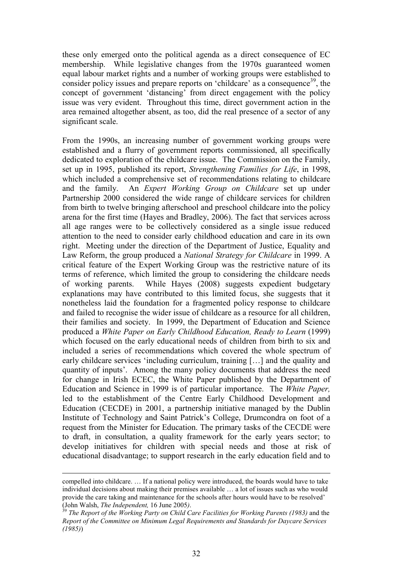these only emerged onto the political agenda as a direct consequence of EC membership. While legislative changes from the 1970s guaranteed women equal labour market rights and a number of working groups were established to consider policy issues and prepare reports on 'childcare' as a consequence<sup>39</sup>, the concept of government 'distancing' from direct engagement with the policy issue was very evident. Throughout this time, direct government action in the area remained altogether absent, as too, did the real presence of a sector of any significant scale.

From the 1990s, an increasing number of government working groups were established and a flurry of government reports commissioned, all specifically dedicated to exploration of the childcare issue. The Commission on the Family, set up in 1995, published its report, *Strengthening Families for Life*, in 1998, which included a comprehensive set of recommendations relating to childcare and the family. An *Expert Working Group on Childcare* set up under Partnership 2000 considered the wide range of childcare services for children from birth to twelve bringing afterschool and preschool childcare into the policy arena for the first time (Hayes and Bradley, 2006). The fact that services across all age ranges were to be collectively considered as a single issue reduced attention to the need to consider early childhood education and care in its own right. Meeting under the direction of the Department of Justice, Equality and Law Reform, the group produced a *National Strategy for Childcare* in 1999. A critical feature of the Expert Working Group was the restrictive nature of its terms of reference, which limited the group to considering the childcare needs of working parents. While Hayes (2008) suggests expedient budgetary explanations may have contributed to this limited focus, she suggests that it nonetheless laid the foundation for a fragmented policy response to childcare and failed to recognise the wider issue of childcare as a resource for all children, their families and society. In 1999, the Department of Education and Science produced a *White Paper on Early Childhood Education, Ready to Learn* (1999) which focused on the early educational needs of children from birth to six and included a series of recommendations which covered the whole spectrum of early childcare services 'including curriculum, training […] and the quality and quantity of inputs'. Among the many policy documents that address the need for change in Irish ECEC, the White Paper published by the Department of Education and Science in 1999 is of particular importance. The *White Paper,*  led to the establishment of the Centre Early Childhood Development and Education (CECDE) in 2001, a partnership initiative managed by the Dublin Institute of Technology and Saint Patrick's College, Drumcondra on foot of a request from the Minister for Education. The primary tasks of the CECDE were to draft, in consultation, a quality framework for the early years sector; to develop initiatives for children with special needs and those at risk of educational disadvantage; to support research in the early education field and to

compelled into childcare. … If a national policy were introduced, the boards would have to take individual decisions about making their premises available … a lot of issues such as who would provide the care taking and maintenance for the schools after hours would have to be resolved' (John Walsh, *The Independent,* 16 June 2005*)*.

<sup>&</sup>lt;sup>39</sup> The Report of the Working Party on Child Care Facilities for Working Parents (1983) and the *Report of the Committee on Minimum Legal Requirements and Standards for Daycare Services (1985)*)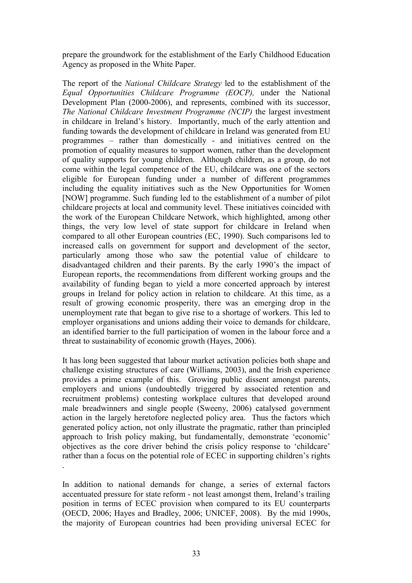prepare the groundwork for the establishment of the Early Childhood Education Agency as proposed in the White Paper.

The report of the *National Childcare Strategy* led to the establishment of the *Equal Opportunities Childcare Programme (EOCP),* under the National Development Plan (2000-2006), and represents, combined with its successor, *The National Childcare Investment Programme (NCIP)* the largest investment in childcare in Ireland's history. Importantly, much of the early attention and funding towards the development of childcare in Ireland was generated from EU programmes – rather than domestically - and initiatives centred on the promotion of equality measures to support women, rather than the development of quality supports for young children. Although children, as a group, do not come within the legal competence of the EU, childcare was one of the sectors eligible for European funding under a number of different programmes including the equality initiatives such as the New Opportunities for Women [NOW] programme. Such funding led to the establishment of a number of pilot childcare projects at local and community level. These initiatives coincided with the work of the European Childcare Network, which highlighted, among other things, the very low level of state support for childcare in Ireland when compared to all other European countries (EC, 1990). Such comparisons led to increased calls on government for support and development of the sector, particularly among those who saw the potential value of childcare to disadvantaged children and their parents. By the early 1990's the impact of European reports, the recommendations from different working groups and the availability of funding began to yield a more concerted approach by interest groups in Ireland for policy action in relation to childcare. At this time, as a result of growing economic prosperity, there was an emerging drop in the unemployment rate that began to give rise to a shortage of workers. This led to employer organisations and unions adding their voice to demands for childcare, an identified barrier to the full participation of women in the labour force and a threat to sustainability of economic growth (Hayes, 2006).

It has long been suggested that labour market activation policies both shape and challenge existing structures of care (Williams, 2003), and the Irish experience provides a prime example of this. Growing public dissent amongst parents, employers and unions (undoubtedly triggered by associated retention and recruitment problems) contesting workplace cultures that developed around male breadwinners and single people (Sweeny, 2006) catalysed government action in the largely heretofore neglected policy area. Thus the factors which generated policy action, not only illustrate the pragmatic, rather than principled approach to Irish policy making, but fundamentally, demonstrate 'economic' objectives as the core driver behind the crisis policy response to 'childcare' rather than a focus on the potential role of ECEC in supporting children's rights

In addition to national demands for change, a series of external factors accentuated pressure for state reform - not least amongst them, Ireland's trailing position in terms of ECEC provision when compared to its EU counterparts (OECD, 2006; Hayes and Bradley, 2006; UNICEF, 2008). By the mid 1990s, the majority of European countries had been providing universal ECEC for

.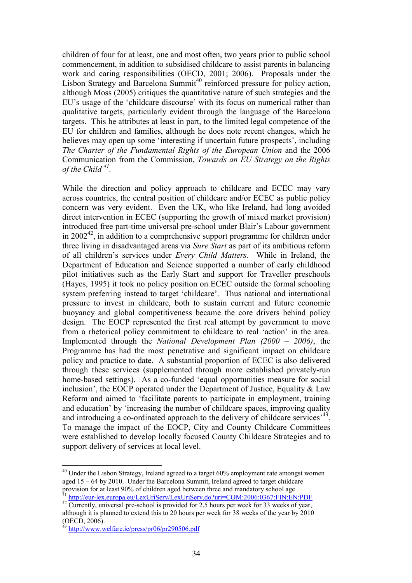children of four for at least, one and most often, two years prior to public school commencement, in addition to subsidised childcare to assist parents in balancing work and caring responsibilities (OECD, 2001; 2006). Proposals under the Lisbon Strategy and Barcelona Summit<sup>40</sup> reinforced pressure for policy action, although Moss (2005) critiques the quantitative nature of such strategies and the EU's usage of the 'childcare discourse' with its focus on numerical rather than qualitative targets, particularly evident through the language of the Barcelona targets. This he attributes at least in part, to the limited legal competence of the EU for children and families, although he does note recent changes, which he believes may open up some 'interesting if uncertain future prospects', including *The Charter of the Fundamental Rights of the European Union* and the 2006 Communication from the Commission, *Towards an EU Strategy on the Rights of the Child <sup>41</sup> .* 

While the direction and policy approach to childcare and ECEC may vary across countries, the central position of childcare and/or ECEC as public policy concern was very evident. Even the UK, who like Ireland, had long avoided direct intervention in ECEC (supporting the growth of mixed market provision) introduced free part-time universal pre-school under Blair's Labour government in  $2002^{42}$ , in addition to a comprehensive support programme for children under three living in disadvantaged areas via *Sure Start* as part of its ambitious reform of all children's services under *Every Child Matters.* While in Ireland, the Department of Education and Science supported a number of early childhood pilot initiatives such as the Early Start and support for Traveller preschools (Hayes, 1995) it took no policy position on ECEC outside the formal schooling system preferring instead to target 'childcare'. Thus national and international pressure to invest in childcare, both to sustain current and future economic buoyancy and global competitiveness became the core drivers behind policy design. The EOCP represented the first real attempt by government to move from a rhetorical policy commitment to childcare to real 'action' in the area. Implemented through the *National Development Plan (2000 – 2006)*, the Programme has had the most penetrative and significant impact on childcare policy and practice to date. A substantial proportion of ECEC is also delivered through these services (supplemented through more established privately-run home-based settings). As a co-funded 'equal opportunities measure for social inclusion', the EOCP operated under the Department of Justice, Equality  $& Law$ Reform and aimed to 'facilitate parents to participate in employment, training and education' by 'increasing the number of childcare spaces, improving quality and introducing a co-ordinated approach to the delivery of childcare services<sup>,43</sup>. To manage the impact of the EOCP, City and County Childcare Committees were established to develop locally focused County Childcare Strategies and to support delivery of services at local level.

 $40$  Under the Lisbon Strategy, Ireland agreed to a target  $60\%$  employment rate amongst women aged 15 – 64 by 2010. Under the Barcelona Summit, Ireland agreed to target childcare provision for at least 90% of children aged between three and mandatory school age

<sup>41</sup> <http://eur-lex.europa.eu/LexUriServ/LexUriServ.do?uri=COM:2006:0367:FIN:EN:PDF>  $42$  Currently, universal pre-school is provided for 2.5 hours per week for 33 weeks of year,

although it is planned to extend this to 20 hours per week for 38 weeks of the year by 2010  $(OECD, 2006).$ 

 $\frac{3}{3}$  http://www<sup>/</sup>welfare.je/press/pr06/pr290506.pdf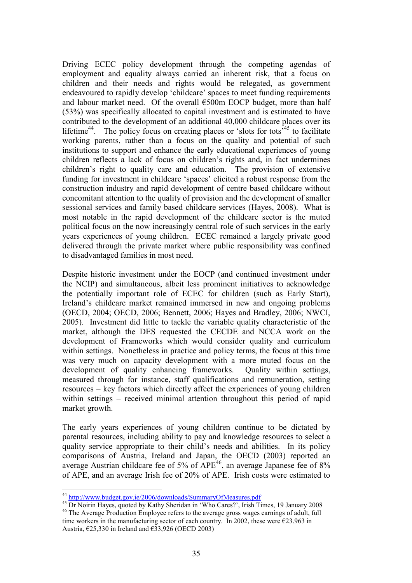Driving ECEC policy development through the competing agendas of employment and equality always carried an inherent risk, that a focus on children and their needs and rights would be relegated, as government endeavoured to rapidly develop 'childcare' spaces to meet funding requirements and labour market need. Of the overall  $\epsilon$ 500m EOCP budget, more than half (53%) was specifically allocated to capital investment and is estimated to have contributed to the development of an additional 40,000 childcare places over its lifetime<sup>44</sup>. The policy focus on creating places or 'slots for tots<sup> $545$ </sup> to facilitate working parents, rather than a focus on the quality and potential of such institutions to support and enhance the early educational experiences of young children reflects a lack of focus on children's rights and, in fact undermines children's right to quality care and education. The provision of extensive funding for investment in childcare 'spaces' elicited a robust response from the construction industry and rapid development of centre based childcare without concomitant attention to the quality of provision and the development of smaller sessional services and family based childcare services (Hayes, 2008). What is most notable in the rapid development of the childcare sector is the muted political focus on the now increasingly central role of such services in the early years experiences of young children. ECEC remained a largely private good delivered through the private market where public responsibility was confined to disadvantaged families in most need.

Despite historic investment under the EOCP (and continued investment under the NCIP) and simultaneous, albeit less prominent initiatives to acknowledge the potentially important role of ECEC for children (such as Early Start), Ireland's childcare market remained immersed in new and ongoing problems (OECD, 2004; OECD, 2006; Bennett, 2006; Hayes and Bradley, 2006; NWCI, 2005). Investment did little to tackle the variable quality characteristic of the market, although the DES requested the CECDE and NCCA work on the development of Frameworks which would consider quality and curriculum within settings. Nonetheless in practice and policy terms, the focus at this time was very much on capacity development with a more muted focus on the development of quality enhancing frameworks. Quality within settings, measured through for instance, staff qualifications and remuneration, setting resources – key factors which directly affect the experiences of young children within settings – received minimal attention throughout this period of rapid market growth.

The early years experiences of young children continue to be dictated by parental resources, including ability to pay and knowledge resources to select a quality service appropriate to their child's needs and abilities. In its policy comparisons of Austria, Ireland and Japan, the OECD (2003) reported an average Austrian childcare fee of 5% of  $APE^{46}$ , an average Japanese fee of 8% of APE, and an average Irish fee of 20% of APE. Irish costs were estimated to

<sup>&</sup>lt;sup>44</sup> <http://www.budget.gov.ie/2006/downloads/SummaryOfMeasures.pdf>

<sup>45</sup> Dr Noirin Hayes, quoted by Kathy Sheridan in 'Who Cares?', Irish Times, 19 January 2008 <sup>46</sup> The Average Production Employee refers to the average gross wages earnings of adult, full time workers in the manufacturing sector of each country. In 2002, these were  $\epsilon$ 23.963 in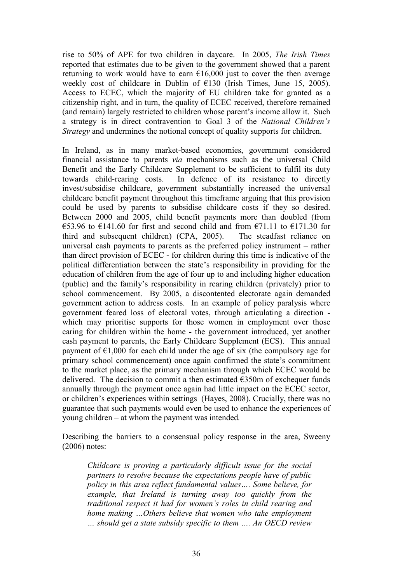rise to 50% of APE for two children in daycare. In 2005, *The Irish Times* reported that estimates due to be given to the government showed that a parent returning to work would have to earn  $£16,000$  just to cover the then average weekly cost of childcare in Dublin of €130 (Irish Times, June 15, 2005). Access to ECEC, which the majority of EU children take for granted as a citizenship right, and in turn, the quality of ECEC received, therefore remained (and remain) largely restricted to children whose parent's income allow it. Such a strategy is in direct contravention to Goal 3 of the *National Children's Strategy* and undermines the notional concept of quality supports for children.

In Ireland, as in many market-based economies, government considered financial assistance to parents *via* mechanisms such as the universal Child Benefit and the Early Childcare Supplement to be sufficient to fulfil its duty towards child-rearing costs. In defence of its resistance to directly invest/subsidise childcare, government substantially increased the universal childcare benefit payment throughout this timeframe arguing that this provision could be used by parents to subsidise childcare costs if they so desired. Between 2000 and 2005, child benefit payments more than doubled (from €53.96 to €141.60 for first and second child and from  $€71.11$  to  $€171.30$  for third and subsequent children) (CPA, 2005). The steadfast reliance on universal cash payments to parents as the preferred policy instrument – rather than direct provision of ECEC - for children during this time is indicative of the political differentiation between the state's responsibility in providing for the education of children from the age of four up to and including higher education (public) and the family's responsibility in rearing children (privately) prior to school commencement. By 2005, a discontented electorate again demanded government action to address costs. In an example of policy paralysis where government feared loss of electoral votes, through articulating a direction which may prioritise supports for those women in employment over those caring for children within the home - the government introduced, yet another cash payment to parents, the Early Childcare Supplement (ECS). This annual payment of  $\epsilon$ 1,000 for each child under the age of six (the compulsory age for primary school commencement) once again confirmed the state's commitment to the market place, as the primary mechanism through which ECEC would be delivered. The decision to commit a then estimated  $E350m$  of exchequer funds annually through the payment once again had little impact on the ECEC sector, or children's experiences within settings (Hayes, 2008). Crucially, there was no guarantee that such payments would even be used to enhance the experiences of young children – at whom the payment was intended*.* 

Describing the barriers to a consensual policy response in the area, Sweeny (2006) notes:

*Childcare is proving a particularly difficult issue for the social partners to resolve because the expectations people have of public policy in this area reflect fundamental values…. Some believe, for example, that Ireland is turning away too quickly from the traditional respect it had for women's roles in child rearing and home making …Others believe that women who take employment … should get a state subsidy specific to them …. An OECD review*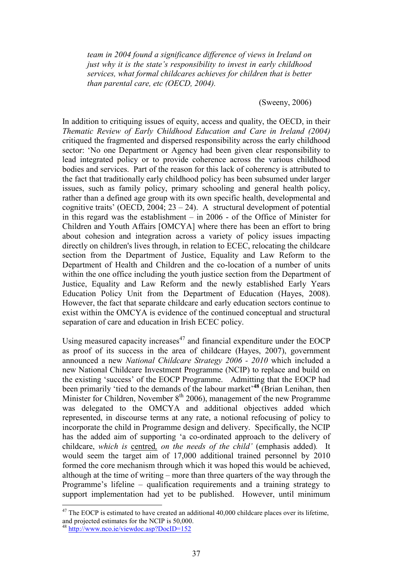*team in 2004 found a significance difference of views in Ireland on just why it is the state's responsibility to invest in early childhood services, what formal childcares achieves for children that is better than parental care, etc (OECD, 2004).* 

#### (Sweeny, 2006)

In addition to critiquing issues of equity, access and quality, the OECD, in their *Thematic Review of Early Childhood Education and Care in Ireland (2004)*  critiqued the fragmented and dispersed responsibility across the early childhood sector: 'No one Department or Agency had been given clear responsibility to lead integrated policy or to provide coherence across the various childhood bodies and services. Part of the reason for this lack of coherency is attributed to the fact that traditionally early childhood policy has been subsumed under larger issues, such as family policy, primary schooling and general health policy, rather than a defined age group with its own specific health, developmental and cognitive traits' (OECD, 2004;  $23 - 24$ ). A structural development of potential in this regard was the establishment – in 2006 - of the Office of Minister for Children and Youth Affairs [OMCYA] where there has been an effort to bring about cohesion and integration across a variety of policy issues impacting directly on children's lives through, in relation to ECEC, relocating the childcare section from the Department of Justice, Equality and Law Reform to the Department of Health and Children and the co-location of a number of units within the one office including the youth justice section from the Department of Justice, Equality and Law Reform and the newly established Early Years Education Policy Unit from the Department of Education (Hayes, 2008). However, the fact that separate childcare and early education sectors continue to exist within the OMCYA is evidence of the continued conceptual and structural separation of care and education in Irish ECEC policy.

Using measured capacity increases $47$  and financial expenditure under the EOCP as proof of its success in the area of childcare (Hayes, 2007), government announced a new *National Childcare Strategy 2006 - 2010* which included a new National Childcare Investment Programme (NCIP) to replace and build on the existing 'success' of the EOCP Programme. Admitting that the EOCP had been primarily 'tied to the demands of the labour market'**<sup>48</sup>** (Brian Lenihan, then Minister for Children, November  $8<sup>th</sup>$  2006), management of the new Programme was delegated to the OMCYA and additional objectives added which represented, in discourse terms at any rate, a notional refocusing of policy to incorporate the child in Programme design and delivery. Specifically, the NCIP has the added aim of supporting 'a co-ordinated approach to the delivery of childcare, *which is* centred*, on the needs of the child'* (emphasis added)*.* It would seem the target aim of 17,000 additional trained personnel by 2010 formed the core mechanism through which it was hoped this would be achieved, although at the time of writing – more than three quarters of the way through the Programme's lifeline – qualification requirements and a training strategy to support implementation had yet to be published. However, until minimum

 $47$  The EOCP is estimated to have created an additional 40,000 childcare places over its lifetime, and projected estimates for the NCIP is 50,000.

<sup>48</sup> <http://www.nco.ie/viewdoc.asp?DocID=152>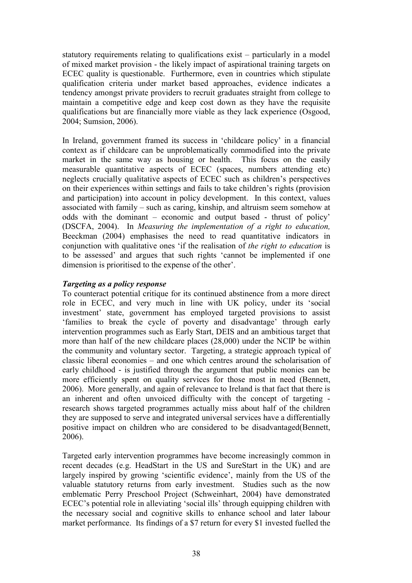statutory requirements relating to qualifications exist – particularly in a model of mixed market provision - the likely impact of aspirational training targets on ECEC quality is questionable. Furthermore, even in countries which stipulate qualification criteria under market based approaches, evidence indicates a tendency amongst private providers to recruit graduates straight from college to maintain a competitive edge and keep cost down as they have the requisite qualifications but are financially more viable as they lack experience (Osgood, 2004; Sumsion, 2006).

In Ireland, government framed its success in 'childcare policy' in a financial context as if childcare can be unproblematically commodified into the private market in the same way as housing or health. This focus on the easily measurable quantitative aspects of ECEC (spaces, numbers attending etc) neglects crucially qualitative aspects of ECEC such as children's perspectives on their experiences within settings and fails to take children's rights (provision and participation) into account in policy development. In this context, values associated with family – such as caring, kinship, and altruism seem somehow at odds with the dominant – economic and output based - thrust of policy' (DSCFA, 2004). In *Measuring the implementation of a right to education,*  Beeckman (2004) emphasises the need to read quantitative indicators in conjunction with qualitative ones 'if the realisation of *the right to education* is to be assessed' and argues that such rights 'cannot be implemented if one dimension is prioritised to the expense of the other'.

### *Targeting as a policy response*

To counteract potential critique for its continued abstinence from a more direct role in ECEC, and very much in line with UK policy, under its 'social investment' state, government has employed targeted provisions to assist 'families to break the cycle of poverty and disadvantage' through early intervention programmes such as Early Start, DEIS and an ambitious target that more than half of the new childcare places (28,000) under the NCIP be within the community and voluntary sector. Targeting, a strategic approach typical of classic liberal economies – and one which centres around the scholarisation of early childhood - is justified through the argument that public monies can be more efficiently spent on quality services for those most in need (Bennett, 2006). More generally, and again of relevance to Ireland is that fact that there is an inherent and often unvoiced difficulty with the concept of targeting research shows targeted programmes actually miss about half of the children they are supposed to serve and integrated universal services have a differentially positive impact on children who are considered to be disadvantaged(Bennett, 2006).

Targeted early intervention programmes have become increasingly common in recent decades (e.g. HeadStart in the US and SureStart in the UK) and are largely inspired by growing 'scientific evidence', mainly from the US of the valuable statutory returns from early investment. Studies such as the now emblematic Perry Preschool Project (Schweinhart, 2004) have demonstrated ECEC's potential role in alleviating 'social ills' through equipping children with the necessary social and cognitive skills to enhance school and later labour market performance. Its findings of a \$7 return for every \$1 invested fuelled the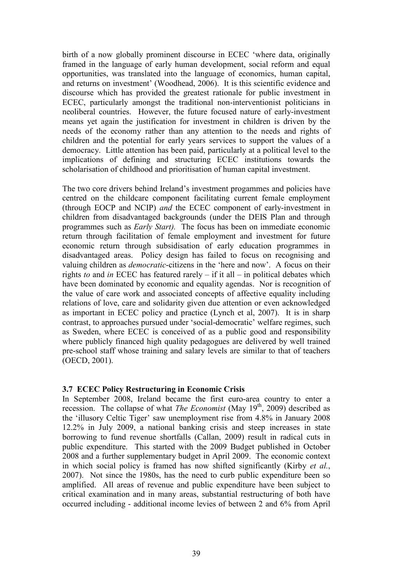<span id="page-43-0"></span>birth of a now globally prominent discourse in ECEC 'where data, originally framed in the language of early human development, social reform and equal opportunities, was translated into the language of economics, human capital, and returns on investment' (Woodhead, 2006). It is this scientific evidence and discourse which has provided the greatest rationale for public investment in ECEC, particularly amongst the traditional non-interventionist politicians in neoliberal countries. However, the future focused nature of early-investment means yet again the justification for investment in children is driven by the needs of the economy rather than any attention to the needs and rights of children and the potential for early years services to support the values of a democracy. Little attention has been paid, particularly at a political level to the implications of defining and structuring ECEC institutions towards the scholarisation of childhood and prioritisation of human capital investment.

The two core drivers behind Ireland's investment progammes and policies have centred on the childcare component facilitating current female employment (through EOCP and NCIP) *and* the ECEC component of early-investment in children from disadvantaged backgrounds (under the DEIS Plan and through programmes such as *Early Start).* The focus has been on immediate economic return through facilitation of female employment and investment for future economic return through subsidisation of early education programmes in disadvantaged areas. Policy design has failed to focus on recognising and valuing children as *democratic*-citizens in the 'here and now'. A focus on their rights *to* and *in* ECEC has featured rarely  $-$  if it all  $-$  in political debates which have been dominated by economic and equality agendas. Nor is recognition of the value of care work and associated concepts of affective equality including relations of love, care and solidarity given due attention or even acknowledged as important in ECEC policy and practice (Lynch et al, 2007). It is in sharp contrast, to approaches pursued under 'social-democratic' welfare regimes, such as Sweden, where ECEC is conceived of as a public good and responsibility where publicly financed high quality pedagogues are delivered by well trained pre-school staff whose training and salary levels are similar to that of teachers (OECD, 2001).

### **3.7 ECEC Policy Restructuring in Economic Crisis**

In September 2008, Ireland became the first euro-area country to enter a recession. The collapse of what *The Economist* (May 19<sup>th</sup>, 2009) described as the 'illusory Celtic Tiger' saw unemployment rise from 4.8% in January 2008 12.2% in July 2009, a national banking crisis and steep increases in state borrowing to fund revenue shortfalls (Callan, 2009) result in radical cuts in public expenditure. This started with the 2009 Budget published in October 2008 and a further supplementary budget in April 2009. The economic context in which social policy is framed has now shifted significantly (Kirby *et al.*, 2007). Not since the 1980s, has the need to curb public expenditure been so amplified. All areas of revenue and public expenditure have been subject to critical examination and in many areas, substantial restructuring of both have occurred including - additional income levies of between 2 and 6% from April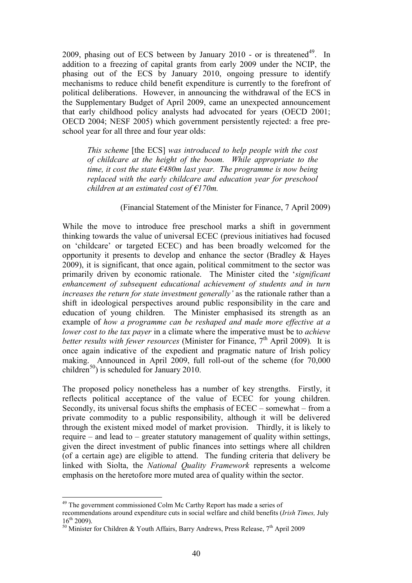2009, phasing out of ECS between by January 2010 - or is threatened<sup>49</sup>. In addition to a freezing of capital grants from early 2009 under the NCIP, the phasing out of the ECS by January 2010, ongoing pressure to identify mechanisms to reduce child benefit expenditure is currently to the forefront of political deliberations. However, in announcing the withdrawal of the ECS in the Supplementary Budget of April 2009, came an unexpected announcement that early childhood policy analysts had advocated for years (OECD 2001; OECD 2004; NESF 2005) which government persistently rejected: a free preschool year for all three and four year olds:

*This scheme* [the ECS] *was introduced to help people with the cost of childcare at the height of the boom. While appropriate to the time, it cost the state €480m last year. The programme is now being replaced with the early childcare and education year for preschool children at an estimated cost of €170m.* 

#### (Financial Statement of the Minister for Finance, 7 April 2009)

While the move to introduce free preschool marks a shift in government thinking towards the value of universal ECEC (previous initiatives had focused on 'childcare' or targeted ECEC) and has been broadly welcomed for the opportunity it presents to develop and enhance the sector (Bradley  $\&$  Hayes 2009), it is significant, that once again, political commitment to the sector was primarily driven by economic rationale. The Minister cited the '*significant enhancement of subsequent educational achievement of students and in turn increases the return for state investment generally'* as the rationale rather than a shift in ideological perspectives around public responsibility in the care and education of young children. The Minister emphasised its strength as an example of *how a programme can be reshaped and made more effective at a lower cost to the tax payer* in a climate where the imperative must be to *achieve better results with fewer resources* (Minister for Finance, 7<sup>th</sup> April 2009). It is once again indicative of the expedient and pragmatic nature of Irish policy making. Announced in April 2009, full roll-out of the scheme (for 70,000 children<sup>50</sup>) is scheduled for January 2010.

The proposed policy nonetheless has a number of key strengths. Firstly, it reflects political acceptance of the value of ECEC for young children. Secondly, its universal focus shifts the emphasis of ECEC – somewhat – from a private commodity to a public responsibility, although it will be delivered through the existent mixed model of market provision. Thirdly, it is likely to require – and lead to – greater statutory management of quality within settings, given the direct investment of public finances into settings where all children (of a certain age) are eligible to attend. The funding criteria that delivery be linked with Siolta, the *National Quality Framework* represents a welcome emphasis on the heretofore more muted area of quality within the sector.

 $\overline{a}$ <sup>49</sup> The government commissioned Colm Mc Carthy Report has made a series of

recommendations around expenditure cuts in social welfare and child benefits (*Irish Times,* July  $16^{th}$  2009).

 $\frac{50}{10}$  Minister for Children & Youth Affairs, Barry Andrews, Press Release,  $7<sup>th</sup>$  April 2009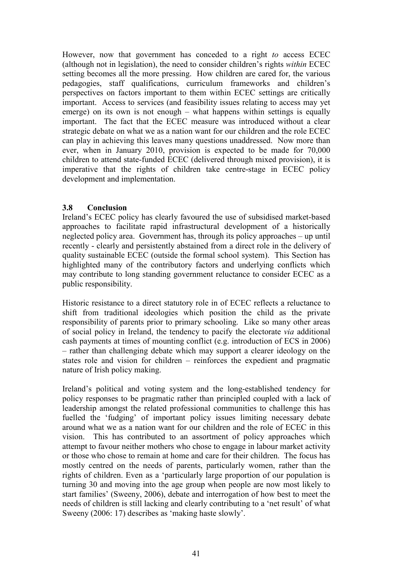<span id="page-45-0"></span>However, now that government has conceded to a right *to* access ECEC (although not in legislation), the need to consider children's rights *within* ECEC setting becomes all the more pressing. How children are cared for, the various pedagogies, staff qualifications, curriculum frameworks and children's perspectives on factors important to them within ECEC settings are critically important. Access to services (and feasibility issues relating to access may yet emerge) on its own is not enough – what happens within settings is equally important. The fact that the ECEC measure was introduced without a clear strategic debate on what we as a nation want for our children and the role ECEC can play in achieving this leaves many questions unaddressed. Now more than ever, when in January 2010, provision is expected to be made for 70,000 children to attend state-funded ECEC (delivered through mixed provision), it is imperative that the rights of children take centre-stage in ECEC policy development and implementation.

### **3.8 Conclusion**

Ireland's ECEC policy has clearly favoured the use of subsidised market-based approaches to facilitate rapid infrastructural development of a historically neglected policy area. Government has, through its policy approaches – up until recently - clearly and persistently abstained from a direct role in the delivery of quality sustainable ECEC (outside the formal school system). This Section has highlighted many of the contributory factors and underlying conflicts which may contribute to long standing government reluctance to consider ECEC as a public responsibility.

Historic resistance to a direct statutory role in of ECEC reflects a reluctance to shift from traditional ideologies which position the child as the private responsibility of parents prior to primary schooling. Like so many other areas of social policy in Ireland, the tendency to pacify the electorate *via* additional cash payments at times of mounting conflict (e.g. introduction of ECS in 2006) – rather than challenging debate which may support a clearer ideology on the states role and vision for children – reinforces the expedient and pragmatic nature of Irish policy making.

Ireland's political and voting system and the long-established tendency for policy responses to be pragmatic rather than principled coupled with a lack of leadership amongst the related professional communities to challenge this has fuelled the 'fudging' of important policy issues limiting necessary debate around what we as a nation want for our children and the role of ECEC in this vision. This has contributed to an assortment of policy approaches which attempt to favour neither mothers who chose to engage in labour market activity or those who chose to remain at home and care for their children. The focus has mostly centred on the needs of parents, particularly women, rather than the rights of children. Even as a 'particularly large proportion of our population is turning 30 and moving into the age group when people are now most likely to start families' (Sweeny, 2006), debate and interrogation of how best to meet the needs of children is still lacking and clearly contributing to a 'net result' of what Sweeny (2006: 17) describes as 'making haste slowly'.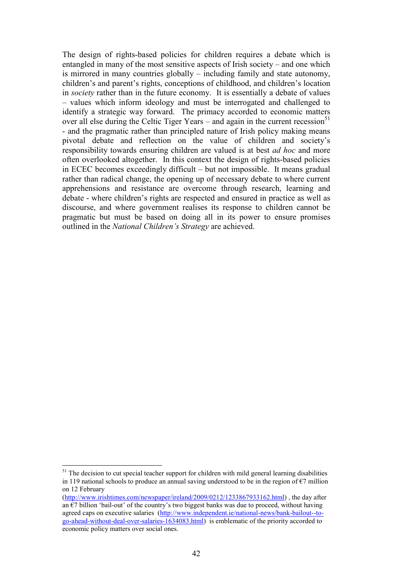The design of rights-based policies for children requires a debate which is entangled in many of the most sensitive aspects of Irish society – and one which is mirrored in many countries globally – including family and state autonomy, children's and parent's rights, conceptions of childhood, and children's location in *society* rather than in the future economy. It is essentially a debate of values – values which inform ideology and must be interrogated and challenged to identify a strategic way forward. The primacy accorded to economic matters over all else during the Celtic Tiger Years – and again in the current recession<sup>51</sup> - and the pragmatic rather than principled nature of Irish policy making means pivotal debate and reflection on the value of children and society's responsibility towards ensuring children are valued is at best *ad hoc* and more often overlooked altogether. In this context the design of rights-based policies in ECEC becomes exceedingly difficult – but not impossible. It means gradual rather than radical change, the opening up of necessary debate to where current apprehensions and resistance are overcome through research, learning and debate - where children's rights are respected and ensured in practice as well as discourse, and where government realises its response to children cannot be pragmatic but must be based on doing all in its power to ensure promises outlined in the *National Children's Strategy* are achieved.

 $\overline{a}$  $51$  The decision to cut special teacher support for children with mild general learning disabilities in 119 national schools to produce an annual saving understood to be in the region of  $\epsilon$ 7 million on 12 February

<sup>(</sup>[http://www.irishtimes.com/newspaper/ireland/2009/0212/1233867933162.html\)](http://www.irishtimes.com/newspaper/ireland/2009/0212/1233867933162.html) , the day after an  $\epsilon$ 7 billion 'bail-out' of the country's two biggest banks was due to proceed, without having agreed caps on executive salaries [\(http://www.independent.ie/national-news/bank-bailout--to](http://www.independent.ie/national-news/bank-bailout--to-go-ahead-without-deal-over-salaries-1634083.html)[go-ahead-without-deal-over-salaries-1634083.html](http://www.independent.ie/national-news/bank-bailout--to-go-ahead-without-deal-over-salaries-1634083.html)) is emblematic of the priority accorded to economic policy matters over social ones.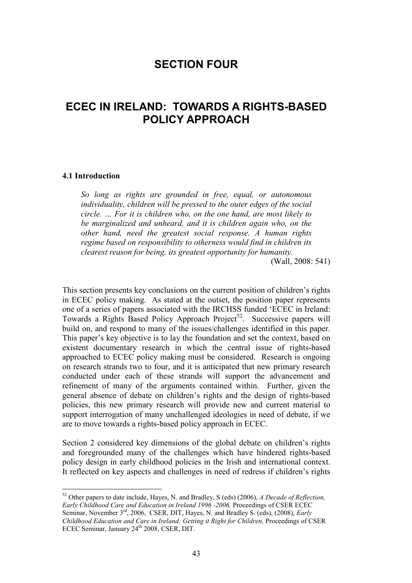### **SECTION FOUR**

### <span id="page-47-0"></span>**ECEC IN IRELAND: TOWARDS A RIGHTS-BASED POLICY APPROACH**

#### **4.1 Introduction**

 $\overline{a}$ 

*So long as rights are grounded in free, equal, or autonomous individuality, children will be pressed to the outer edges of the social circle. … For it is children who, on the one hand, are most likely to be marginalized and unheard, and it is children again who, on the other hand, need the greatest social response. A human rights regime based on responsibility to otherness would find in children its clearest reason for being, its greatest opportunity for humanity.*  (Wall, 2008: 541)

This section presents key conclusions on the current position of children's rights in ECEC policy making. As stated at the outset, the position paper represents one of a series of papers associated with the IRCHSS funded 'ECEC in Ireland: Towards a Rights Based Policy Approach Project<sup>52</sup>. Successive papers will build on, and respond to many of the issues/challenges identified in this paper. This paper's key objective is to lay the foundation and set the context, based on existent documentary research in which the central issue of rights-based approached to ECEC policy making must be considered. Research is ongoing on research strands two to four, and it is anticipated that new primary research conducted under each of these strands will support the advancement and refinement of many of the arguments contained within. Further, given the general absence of debate on children's rights and the design of rights-based policies, this new primary research will provide new and current material to support interrogation of many unchallenged ideologies in need of debate, if we are to move towards a rights-based policy approach in ECEC.

Section 2 considered key dimensions of the global debate on children's rights and foregrounded many of the challenges which have hindered rights-based policy design in early childhood policies in the Irish and international context. It reflected on key aspects and challenges in need of redress if children's rights

<sup>52</sup> Other papers to date include, Hayes, N. and Bradley, S (eds) (2006), *A Decade of Reflection, Early Childhood Care and Education in Ireland 1996 -2006,* Proceedings of CSER ECEC Seminar, November 3<sup>rd</sup>, 2006, CSER, DIT, Hayes, N. and Bradley S. (eds), (2008), *Early Early Childhood Education and Care in Ireland: Getting it Right for Children, Proceedings of CSER* ECEC Seminar, January 24<sup>th</sup> 2008, CSER, DIT.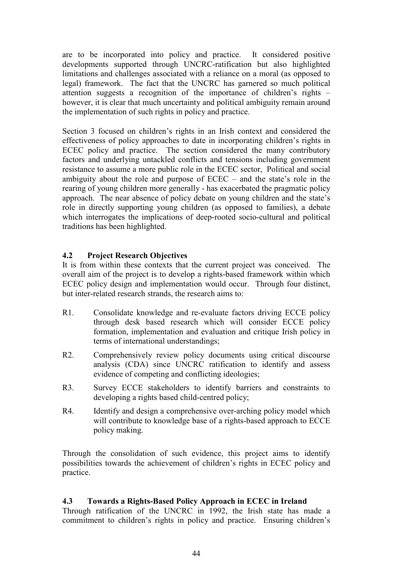<span id="page-48-0"></span>are to be incorporated into policy and practice. It considered positive developments supported through UNCRC-ratification but also highlighted limitations and challenges associated with a reliance on a moral (as opposed to legal) framework. The fact that the UNCRC has garnered so much political attention suggests a recognition of the importance of children's rights – however, it is clear that much uncertainty and political ambiguity remain around the implementation of such rights in policy and practice.

Section 3 focused on children's rights in an Irish context and considered the effectiveness of policy approaches to date in incorporating children's rights in ECEC policy and practice. The section considered the many contributory factors and underlying untackled conflicts and tensions including government resistance to assume a more public role in the ECEC sector, Political and social ambiguity about the role and purpose of ECEC – and the state's role in the rearing of young children more generally - has exacerbated the pragmatic policy approach. The near absence of policy debate on young children and the state's role in directly supporting young children (as opposed to families), a debate which interrogates the implications of deep-rooted socio-cultural and political traditions has been highlighted.

### **4.2 Project Research Objectives**

It is from within these contexts that the current project was conceived. The overall aim of the project is to develop a rights-based framework within which ECEC policy design and implementation would occur. Through four distinct, but inter-related research strands, the research aims to:

- R1. Consolidate knowledge and re-evaluate factors driving ECCE policy through desk based research which will consider ECCE policy formation, implementation and evaluation and critique Irish policy in terms of international understandings;
- R2. Comprehensively review policy documents using critical discourse analysis (CDA) since UNCRC ratification to identify and assess evidence of competing and conflicting ideologies;
- R3. Survey ECCE stakeholders to identify barriers and constraints to developing a rights based child-centred policy;
- R4. Identify and design a comprehensive over-arching policy model which will contribute to knowledge base of a rights-based approach to ECCE policy making.

Through the consolidation of such evidence, this project aims to identify possibilities towards the achievement of children's rights in ECEC policy and practice.

### **4.3 Towards a Rights-Based Policy Approach in ECEC in Ireland**

Through ratification of the UNCRC in 1992, the Irish state has made a commitment to children's rights in policy and practice. Ensuring children's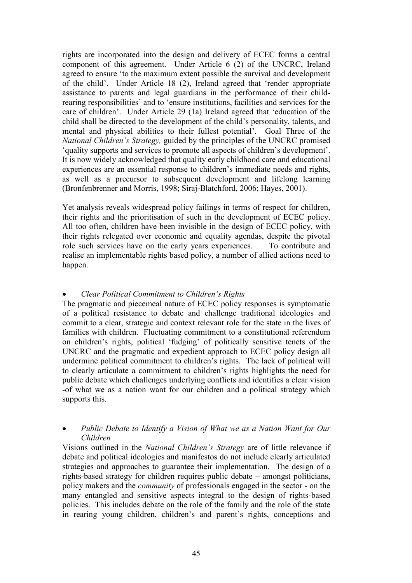rights are incorporated into the design and delivery of ECEC forms a central component of this agreement. Under Article 6 (2) of the UNCRC, Ireland agreed to ensure 'to the maximum extent possible the survival and development of the child'. Under Article 18 (2), Ireland agreed that 'render appropriate assistance to parents and legal guardians in the performance of their childrearing responsibilities' and to 'ensure institutions, facilities and services for the care of children'. Under Article 29 (1a) Ireland agreed that 'education of the child shall be directed to the development of the child's personality, talents, and mental and physical abilities to their fullest potential'. Goal Three of the *National Children's Strategy,* guided by the principles of the UNCRC promised 'quality supports and services to promote all aspects of children's development'. It is now widely acknowledged that quality early childhood care and educational experiences are an essential response to children's immediate needs and rights, as well as a precursor to subsequent development and lifelong learning (Bronfenbrenner and Morris, 1998; Siraj-Blatchford, 2006; Hayes, 2001).

Yet analysis reveals widespread policy failings in terms of respect for children, their rights and the prioritisation of such in the development of ECEC policy. All too often, children have been invisible in the design of ECEC policy, with their rights relegated over economic and equality agendas, despite the pivotal role such services have on the early years experiences. To contribute and realise an implementable rights based policy, a number of allied actions need to happen.

### • *Clear Political Commitment to Children's Rights*

The pragmatic and piecemeal nature of ECEC policy responses is symptomatic of a political resistance to debate and challenge traditional ideologies and commit to a clear, strategic and context relevant role for the state in the lives of families with children. Fluctuating commitment to a constitutional referendum on children's rights, political 'fudging' of politically sensitive tenets of the UNCRC and the pragmatic and expedient approach to ECEC policy design all undermine political commitment to children's rights. The lack of political will to clearly articulate a commitment to children's rights highlights the need for public debate which challenges underlying conflicts and identifies a clear vision -of what we as a nation want for our children and a political strategy which supports this.

### • *Public Debate to Identify a Vision of What we as a Nation Want for Our Children*

Visions outlined in the *National Children's Strategy* are of little relevance if debate and political ideologies and manifestos do not include clearly articulated strategies and approaches to guarantee their implementation. The design of a rights-based strategy for children requires public debate – amongst politicians, policy makers and the *community* of professionals engaged in the sector - on the many entangled and sensitive aspects integral to the design of rights-based policies. This includes debate on the role of the family and the role of the state in rearing young children, children's and parent's rights, conceptions and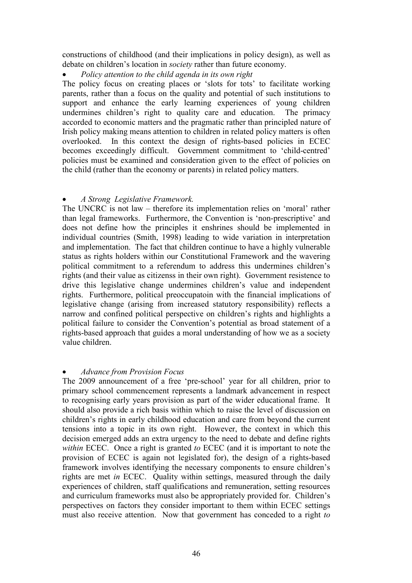constructions of childhood (and their implications in policy design), as well as debate on children's location in *society* rather than future economy.

• *Policy attention to the child agenda in its own right*

The policy focus on creating places or 'slots for tots' to facilitate working parents, rather than a focus on the quality and potential of such institutions to support and enhance the early learning experiences of young children undermines children's right to quality care and education. The primacy accorded to economic matters and the pragmatic rather than principled nature of Irish policy making means attention to children in related policy matters is often overlooked. In this context the design of rights-based policies in ECEC becomes exceedingly difficult. Government commitment to 'child-centred' policies must be examined and consideration given to the effect of policies on the child (rather than the economy or parents) in related policy matters.

### • *A Strong Legislative Framework.*

The UNCRC is not law – therefore its implementation relies on 'moral' rather than legal frameworks. Furthermore, the Convention is 'non-prescriptive' and does not define how the principles it enshrines should be implemented in individual countries (Smith, 1998) leading to wide variation in interpretation and implementation. The fact that children continue to have a highly vulnerable status as rights holders within our Constitutional Framework and the wavering political commitment to a referendum to address this undermines children's rights (and their value as citizenss in their own right). Government resistence to drive this legislative change undermines children's value and independent rights. Furthermore, political preoccupatoin with the financial implications of legislative change (arising from increased statutory responsibility) reflects a narrow and confined political perspective on children's rights and highlights a political failure to consider the Convention's potential as broad statement of a rights-based approach that guides a moral understanding of how we as a society value children.

### • *Advance from Provision Focus*

The 2009 announcement of a free 'pre-school' year for all children, prior to primary school commencement represents a landmark advancement in respect to recognising early years provision as part of the wider educational frame. It should also provide a rich basis within which to raise the level of discussion on children's rights in early childhood education and care from beyond the current tensions into a topic in its own right. However, the context in which this decision emerged adds an extra urgency to the need to debate and define rights *within* ECEC. Once a right is granted *to* ECEC (and it is important to note the provision of ECEC is again not legislated for), the design of a rights-based framework involves identifying the necessary components to ensure children's rights are met *in* ECEC. Quality within settings, measured through the daily experiences of children, staff qualifications and remuneration, setting resources and curriculum frameworks must also be appropriately provided for. Children's perspectives on factors they consider important to them within ECEC settings must also receive attention. Now that government has conceded to a right *to*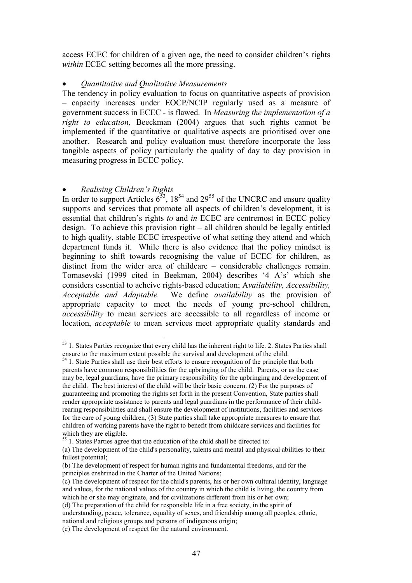access ECEC for children of a given age, the need to consider children's rights *within* ECEC setting becomes all the more pressing.

#### • *Quantitative and Qualitative Measurements*

The tendency in policy evaluation to focus on quantitative aspects of provision – capacity increases under EOCP/NCIP regularly used as a measure of government success in ECEC - is flawed. In *Measuring the implementation of a right to education,* Beeckman (2004) argues that such rights cannot be implemented if the quantitative or qualitative aspects are prioritised over one another. Research and policy evaluation must therefore incorporate the less tangible aspects of policy particularly the quality of day to day provision in measuring progress in ECEC policy.

### • *Realising Children's Rights*

 $\overline{a}$ 

In order to support Articles  $6^{53}$ ,  $18^{54}$  and  $29^{55}$  of the UNCRC and ensure quality supports and services that promote all aspects of children's development, it is essential that children's rights *to* and *in* ECEC are centremost in ECEC policy design. To achieve this provision right – all children should be legally entitled to high quality, stable ECEC irrespective of what setting they attend and which department funds it. While there is also evidence that the policy mindset is beginning to shift towards recognising the value of ECEC for children, as distinct from the wider area of childcare – considerable challenges remain. Tomasevski (1999 cited in Beekman, 2004) describes '4 A's' which she considers essential to acheive rights-based education; A*vailability, Accessibility, Acceptable and Adaptable.* We define *availability* as the provision of appropriate capacity to meet the needs of young pre-school children, *accessibility* to mean services are accessible to all regardless of income or location, *acceptable* to mean services meet appropriate quality standards and

understanding, peace, tolerance, equality of sexes, and friendship among all peoples, ethnic, national and religious groups and persons of indigenous origin;

<sup>&</sup>lt;sup>53</sup> 1. States Parties recognize that every child has the inherent right to life. 2. States Parties shall ensure to the maximum extent possible the survival and development of the child.

 $54$  1. State Parties shall use their best efforts to ensure recognition of the principle that both parents have common responsibilities for the upbringing of the child. Parents, or as the case may be, legal guardians, have the primary responsibility for the upbringing and development of the child. The best interest of the child will be their basic concern. (2) For the purposes of guaranteeing and promoting the rights set forth in the present Convention, State parties shall render appropriate assistance to parents and legal guardians in the performance of their childrearing responsibilities and shall ensure the development of institutions, facilities and services for the care of young children, (3) State parties shall take appropriate measures to ensure that children of working parents have the right to benefit from childcare services and facilities for which they are eligible.

<sup>&</sup>lt;sup>55</sup> 1. States Parties agree that the education of the child shall be directed to:

<sup>(</sup>a) The development of the child's personality, talents and mental and physical abilities to their fullest potential;

<sup>(</sup>b) The development of respect for human rights and fundamental freedoms, and for the principles enshrined in the Charter of the United Nations;

<sup>(</sup>c) The development of respect for the child's parents, his or her own cultural identity, language and values, for the national values of the country in which the child is living, the country from which he or she may originate, and for civilizations different from his or her own;

<sup>(</sup>d) The preparation of the child for responsible life in a free society, in the spirit of

<sup>(</sup>e) The development of respect for the natural environment.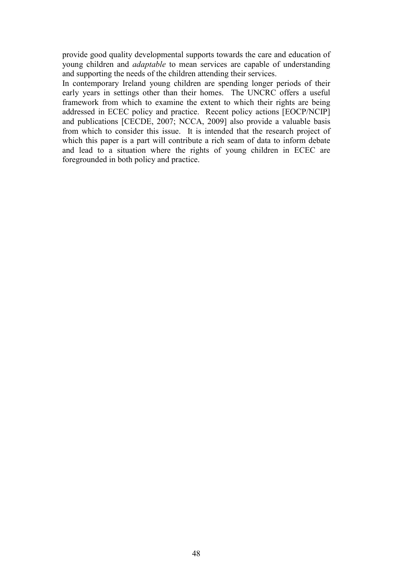provide good quality developmental supports towards the care and education of young children and *adaptable* to mean services are capable of understanding and supporting the needs of the children attending their services.

In contemporary Ireland young children are spending longer periods of their early years in settings other than their homes. The UNCRC offers a useful framework from which to examine the extent to which their rights are being addressed in ECEC policy and practice. Recent policy actions [EOCP/NCIP] and publications [CECDE, 2007; NCCA, 2009] also provide a valuable basis from which to consider this issue. It is intended that the research project of which this paper is a part will contribute a rich seam of data to inform debate and lead to a situation where the rights of young children in ECEC are foregrounded in both policy and practice.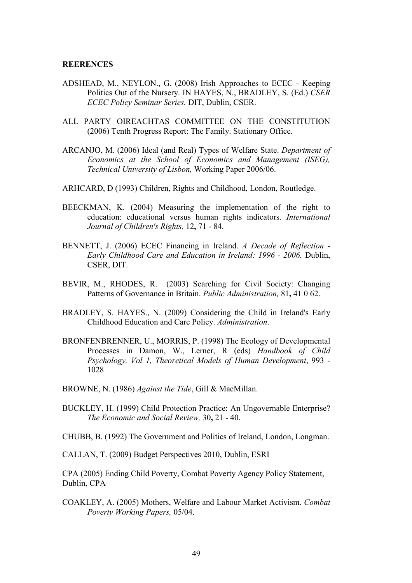#### **REERENCES**

- ADSHEAD, M., NEYLON., G. (2008) Irish Approaches to ECEC Keeping Politics Out of the Nursery. IN HAYES, N., BRADLEY, S. (Ed.) *CSER ECEC Policy Seminar Series.* DIT, Dublin, CSER.
- ALL PARTY OIREACHTAS COMMITTEE ON THE CONSTITUTION (2006) Tenth Progress Report: The Family. Stationary Office.
- ARCANJO, M. (2006) Ideal (and Real) Types of Welfare State. *Department of Economics at the School of Economics and Management (ISEG), Technical University of Lisbon,* Working Paper 2006/06.
- ARHCARD, D (1993) Children, Rights and Childhood, London, Routledge.
- BEECKMAN, K. (2004) Measuring the implementation of the right to education: educational versus human rights indicators. *International Journal of Children's Rights,* 12**,** 71 - 84.
- BENNETT, J. (2006) ECEC Financing in Ireland. *A Decade of Reflection Early Childhood Care and Education in Ireland: 1996 - 2006.* Dublin, CSER, DIT.
- BEVIR, M., RHODES, R. (2003) Searching for Civil Society: Changing Patterns of Governance in Britain. *Public Administration,* 81**,** 41 0 62.
- BRADLEY, S. HAYES., N. (2009) Considering the Child in Ireland's Early Childhood Education and Care Policy. *Administration*.
- BRONFENBRENNER, U., MORRIS, P. (1998) The Ecology of Developmental Processes in Damon, W., Lerner, R (eds) *Handbook of Child Psychology, Vol 1, Theoretical Models of Human Development*, 993 - 1028

BROWNE, N. (1986) *Against the Tide*, Gill & MacMillan.

- BUCKLEY, H. (1999) Child Protection Practice: An Ungovernable Enterprise? *The Economic and Social Review,* 30**,** 21 - 40.
- CHUBB, B. (1992) The Government and Politics of Ireland, London, Longman.

CALLAN, T. (2009) Budget Perspectives 2010, Dublin, ESRI

CPA (2005) Ending Child Poverty, Combat Poverty Agency Policy Statement, Dublin, CPA

COAKLEY, A. (2005) Mothers, Welfare and Labour Market Activism. *Combat Poverty Working Papers,* 05/04.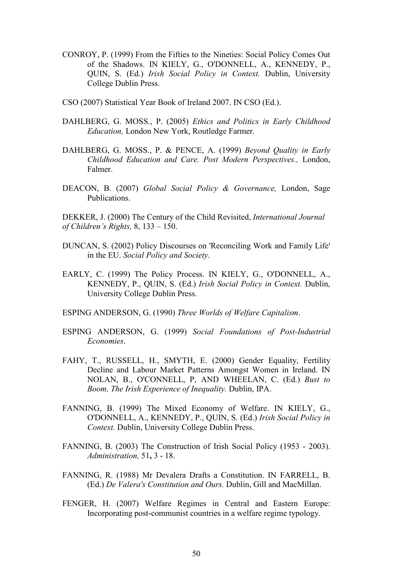- CONROY, P. (1999) From the Fifties to the Nineties: Social Policy Comes Out of the Shadows. IN KIELY, G., O'DONNELL, A., KENNEDY, P., QUIN, S. (Ed.) *Irish Social Policy in Context.* Dublin, University College Dublin Press.
- CSO (2007) Statistical Year Book of Ireland 2007. IN CSO (Ed.).
- DAHLBERG, G. MOSS., P. (2005) *Ethics and Politics in Early Childhood Education,* London New York, Routledge Farmer.
- DAHLBERG, G. MOSS., P. & PENCE, A. (1999) *Beyond Quality in Early Childhood Education and Care. Post Modern Perspectives.,* London, Falmer.
- DEACON, B. (2007) *Global Social Policy & Governance,* London, Sage Publications.

DEKKER, J. (2000) The Century of the Child Revisited, *International Journal of Children's Rights,* 8, 133 – 150.

- DUNCAN, S. (2002) Policy Discourses on 'Reconciling Work and Family Life' in the EU. *Social Policy and Society*.
- EARLY, C. (1999) The Policy Process. IN KIELY, G., O'DONNELL, A., KENNEDY, P., QUIN, S. (Ed.) *Irish Social Policy in Context.* Dublin, University College Dublin Press.
- ESPING ANDERSON, G. (1990) *Three Worlds of Welfare Capitalism*.
- ESPING ANDERSON, G. (1999) *Social Foundations of Post-Industrial Economies*.
- FAHY, T., RUSSELL, H., SMYTH, E. (2000) Gender Equality, Fertility Decline and Labour Market Patterns Amongst Women in Ireland. IN NOLAN, B., O'CONNELL, P, AND WHEELAN, C. (Ed.) *Bust to Boom, The Irish Experience of Inequality.* Dublin, IPA.
- FANNING, B. (1999) The Mixed Economy of Welfare. IN KIELY, G., O'DONNELL, A., KENNEDY, P., QUIN, S. (Ed.) *Irish Social Policy in Context.* Dublin, University College Dublin Press.
- FANNING, B. (2003) The Construction of Irish Social Policy (1953 2003). *Administration,* 51**,** 3 - 18.
- FANNING, R. (1988) Mr Devalera Drafts a Constitution. IN FARRELL, B. (Ed.) *De Valera's Constitution and Ours.* Dublin, Gill and MacMillan.
- FENGER, H. (2007) Welfare Regimes in Central and Eastern Europe: Incorporating post-communist countries in a welfare regime typology.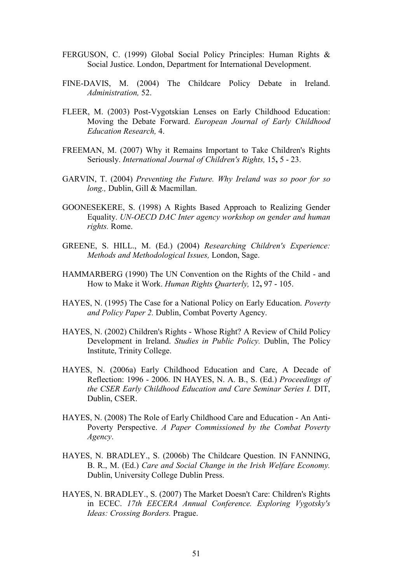- FERGUSON, C. (1999) Global Social Policy Principles: Human Rights & Social Justice. London, Department for International Development.
- FINE-DAVIS, M. (2004) The Childcare Policy Debate in Ireland. *Administration,* 52.
- FLEER, M. (2003) Post-Vygotskian Lenses on Early Childhood Education: Moving the Debate Forward. *European Journal of Early Childhood Education Research,* 4.
- FREEMAN, M. (2007) Why it Remains Important to Take Children's Rights Seriously. *International Journal of Children's Rights,* 15**,** 5 - 23.
- GARVIN, T. (2004) *Preventing the Future. Why Ireland was so poor for so long.,* Dublin, Gill & Macmillan.
- GOONESEKERE, S. (1998) A Rights Based Approach to Realizing Gender Equality. *UN-OECD DAC Inter agency workshop on gender and human rights.* Rome.
- GREENE, S. HILL., M. (Ed.) (2004) *Researching Children's Experience: Methods and Methodological Issues,* London, Sage.
- HAMMARBERG (1990) The UN Convention on the Rights of the Child and How to Make it Work. *Human Rights Quarterly,* 12**,** 97 - 105.
- HAYES, N. (1995) The Case for a National Policy on Early Education. *Poverty and Policy Paper 2.* Dublin, Combat Poverty Agency.
- HAYES, N. (2002) Children's Rights Whose Right? A Review of Child Policy Development in Ireland. *Studies in Public Policy.* Dublin, The Policy Institute, Trinity College.
- HAYES, N. (2006a) Early Childhood Education and Care, A Decade of Reflection: 1996 - 2006. IN HAYES, N. A. B., S. (Ed.) *Proceedings of the CSER Early Childhood Education and Care Seminar Series I.* DIT, Dublin, CSER.
- HAYES, N. (2008) The Role of Early Childhood Care and Education An Anti-Poverty Perspective. *A Paper Commissioned by the Combat Poverty Agency*.
- HAYES, N. BRADLEY., S. (2006b) The Childcare Question. IN FANNING, B. R., M. (Ed.) *Care and Social Change in the Irish Welfare Economy.*  Dublin, University College Dublin Press.
- HAYES, N. BRADLEY., S. (2007) The Market Doesn't Care: Children's Rights in ECEC. *17th EECERA Annual Conference. Exploring Vygotsky's Ideas: Crossing Borders.* Prague.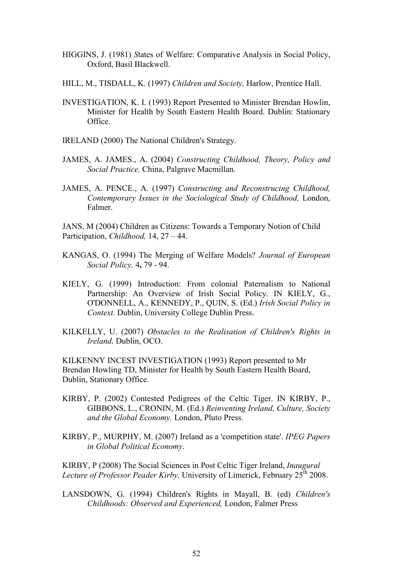- HIGGINS, J. (1981) *S*tates of Welfare: Comparative Analysis in Social Policy, Oxford, Basil Blackwell.
- HILL, M., TISDALL, K. (1997) *Children and Society,* Harlow, Prentice Hall.
- INVESTIGATION, K. I. (1993) Report Presented to Minister Brendan Howlin, Minister for Health by South Eastern Health Board. Dublin: Stationary Office.
- IRELAND (2000) The National Children's Strategy.
- JAMES, A. JAMES., A. (2004) *Constructing Childhood, Theory, Policy and Social Practice,* China, Palgrave Macmillan.
- JAMES, A. PENCE., A. (1997) *Constructing and Reconstrucing Childhood, Contemporary Issues in the Sociological Study of Childhood,* London, Falmer.

JANS, M (2004) Children as Citizens: Towards a Temporary Notion of Child Participation, *Childhood,* 14, 27 – 44.

- KANGAS, O. (1994) The Merging of Welfare Models? *Journal of European Social Policy,* 4**,** 79 - 94.
- KIELY, G. (1999) Introduction: From colonial Paternalism to National Partnership: An Overview of Irish Social Policy. IN KIELY, G., O'DONNELL, A., KENNEDY, P., QUIN, S. (Ed.) *Irish Social Policy in Context.* Dublin, University College Dublin Press.
- KILKELLY, U. (2007) *Obstacles to the Realisation of Children's Rights in Ireland,* Dublin, OCO.

KILKENNY INCEST INVESTIGATION (1993) Report presented to Mr Brendan Howling TD, Minister for Health by South Eastern Health Board, Dublin, Stationary Office.

- KIRBY, P. (2002) Contested Pedigrees of the Celtic Tiger. IN KIRBY, P., GIBBONS, L., CRONIN, M. (Ed.) *Reinventing Ireland, Culture, Society and the Global Economy.* London, Pluto Press.
- KIRBY, P., MURPHY, M. (2007) Ireland as a 'competition state'. *IPEG Papers in Global Political Economy*.

KIRBY, P (2008) The Social Sciences in Post Celtic Tiger Ireland, *Inaugural Lecture of Professor Peader Kirby, University of Limerick, February 25<sup>th</sup> 2008.* 

LANSDOWN, G. (1994) Children's Rights in Mayall, B. (ed) *Children's Childhoods: Observed and Experienced,* London, Falmer Press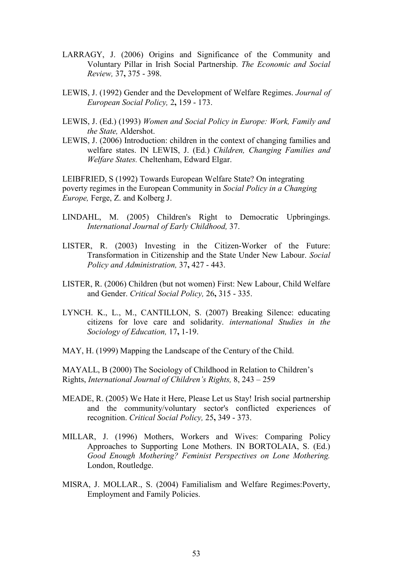- LARRAGY, J. (2006) Origins and Significance of the Community and Voluntary Pillar in Irish Social Partnership. *The Economic and Social Review,* 37**,** 375 - 398.
- LEWIS, J. (1992) Gender and the Development of Welfare Regimes. *Journal of European Social Policy,* 2**,** 159 - 173.
- LEWIS, J. (Ed.) (1993) *Women and Social Policy in Europe: Work, Family and the State,* Aldershot.
- LEWIS, J. (2006) Introduction: children in the context of changing families and welfare states. IN LEWIS, J. (Ed.) *Children, Changing Families and Welfare States.* Cheltenham, Edward Elgar.

LEIBFRIED, S (1992) Towards European Welfare State? On integrating poverty regimes in the European Community in *Social Policy in a Changing Europe,* Ferge, Z. and Kolberg J.

- LINDAHL, M. (2005) Children's Right to Democratic Upbringings. *International Journal of Early Childhood,* 37.
- LISTER, R. (2003) Investing in the Citizen-Worker of the Future: Transformation in Citizenship and the State Under New Labour. *Social Policy and Administration,* 37**,** 427 - 443.
- LISTER, R. (2006) Children (but not women) First: New Labour, Child Welfare and Gender. *Critical Social Policy,* 26**,** 315 - 335.
- LYNCH. K., L., M., CANTILLON, S. (2007) Breaking Silence: educating citizens for love care and solidarity. *international Studies in the Sociology of Education,* 17**,** 1-19.
- MAY, H. (1999) Mapping the Landscape of the Century of the Child.

MAYALL, B (2000) The Sociology of Childhood in Relation to Children's Rights, *International Journal of Children's Rights,* 8, 243 – 259

- MEADE, R. (2005) We Hate it Here, Please Let us Stay! Irish social partnership and the community/voluntary sector's conflicted experiences of recognition. *Critical Social Policy,* 25**,** 349 - 373.
- MILLAR, J. (1996) Mothers, Workers and Wives: Comparing Policy Approaches to Supporting Lone Mothers. IN BORTOLAIA, S. (Ed.) *Good Enough Mothering? Feminist Perspectives on Lone Mothering.*  London, Routledge.
- MISRA, J. MOLLAR., S. (2004) Familialism and Welfare Regimes:Poverty, Employment and Family Policies.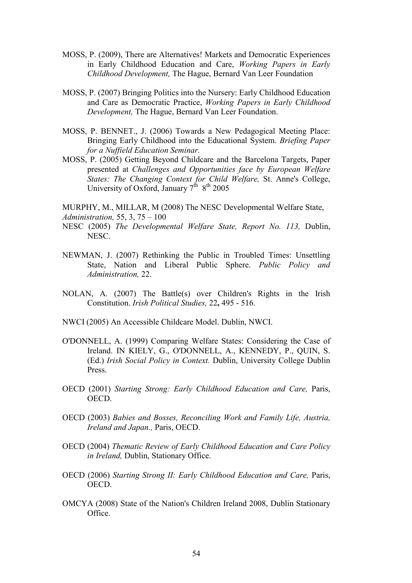- MOSS, P. (2009), There are Alternatives! Markets and Democratic Experiences in Early Childhood Education and Care, *Working Papers in Early Childhood Development,* The Hague, Bernard Van Leer Foundation
- MOSS, P. (2007) Bringing Politics into the Nursery: Early Childhood Education and Care as Democratic Practice, *Working Papers in Early Childhood Development,* The Hague, Bernard Van Leer Foundation.
- MOSS, P. BENNET., J. (2006) Towards a New Pedagogical Meeting Place: Bringing Early Childhood into the Educational System. *Briefing Paper for a Nuffield Education Seminar.*
- MOSS, P. (2005) Getting Beyond Childcare and the Barcelona Targets, Paper presented at *Challenges and Opportunities face by European Welfare States: The Changing Context for Child Welfare,* St. Anne's College, University of Oxford, January  $7^{\text{th}}$  8<sup>th</sup> 2005

MURPHY, M., MILLAR, M (2008) The NESC Developmental Welfare State, *Administration,* 55, 3, 75 – 100

- NESC (2005) *The Developmental Welfare State, Report No. 113,* Dublin, NESC.
- NEWMAN, J. (2007) Rethinking the Public in Troubled Times: Unsettling State, Nation and Liberal Public Sphere. *Public Policy and Administration,* 22.
- NOLAN, A. (2007) The Battle(s) over Children's Rights in the Irish Constitution. *Irish Political Studies,* 22**,** 495 - 516.
- NWCI (2005) An Accessible Childcare Model. Dublin, NWCI.
- O'DONNELL, A. (1999) Comparing Welfare States: Considering the Case of Ireland. IN KIELY, G., O'DONNELL, A., KENNEDY, P., QUIN, S. (Ed.) *Irish Social Policy in Context.* Dublin, University College Dublin Press.
- OECD (2001) *Starting Strong: Early Childhood Education and Care,* Paris, OECD.
- OECD (2003) *Babies and Bosses, Reconciling Work and Family Life, Austria, Ireland and Japan.,* Paris, OECD.
- OECD (2004) *Thematic Review of Early Childhood Education and Care Policy in Ireland,* Dublin, Stationary Office.
- OECD (2006) *Starting Strong II: Early Childhood Education and Care,* Paris, OECD.
- OMCYA (2008) State of the Nation's Children Ireland 2008, Dublin Stationary Office.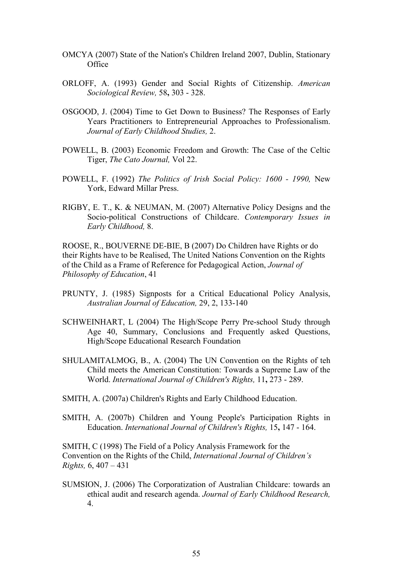- OMCYA (2007) State of the Nation's Children Ireland 2007, Dublin, Stationary **Office**
- ORLOFF, A. (1993) Gender and Social Rights of Citizenship. *American Sociological Review,* 58**,** 303 - 328.
- OSGOOD, J. (2004) Time to Get Down to Business? The Responses of Early Years Practitioners to Entrepreneurial Approaches to Professionalism. *Journal of Early Childhood Studies,* 2.
- POWELL, B. (2003) Economic Freedom and Growth: The Case of the Celtic Tiger, *The Cato Journal,* Vol 22.
- POWELL, F. (1992) *The Politics of Irish Social Policy: 1600 1990,* New York, Edward Millar Press.
- RIGBY, E. T., K. & NEUMAN, M. (2007) Alternative Policy Designs and the Socio-political Constructions of Childcare. *Contemporary Issues in Early Childhood,* 8.

ROOSE, R., BOUVERNE DE-BIE, B (2007) Do Children have Rights or do their Rights have to be Realised, The United Nations Convention on the Rights of the Child as a Frame of Reference for Pedagogical Action, *Journal of Philosophy of Education*, 41

- PRUNTY, J. (1985) Signposts for a Critical Educational Policy Analysis, *Australian Journal of Education,* 29, 2, 133-140
- SCHWEINHART, L (2004) The High/Scope Perry Pre-school Study through Age 40, Summary, Conclusions and Frequently asked Questions, High/Scope Educational Research Foundation
- SHULAMITALMOG, B., A. (2004) The UN Convention on the Rights of teh Child meets the American Constitution: Towards a Supreme Law of the World. *International Journal of Children's Rights,* 11**,** 273 - 289.
- SMITH, A. (2007a) Children's Rights and Early Childhood Education.
- SMITH, A. (2007b) Children and Young People's Participation Rights in Education. *International Journal of Children's Rights,* 15**,** 147 - 164.

SMITH, C (1998) The Field of a Policy Analysis Framework for the Convention on the Rights of the Child, *International Journal of Children's Rights,* 6, 407 – 431

SUMSION, J. (2006) The Corporatization of Australian Childcare: towards an ethical audit and research agenda. *Journal of Early Childhood Research,* 4.